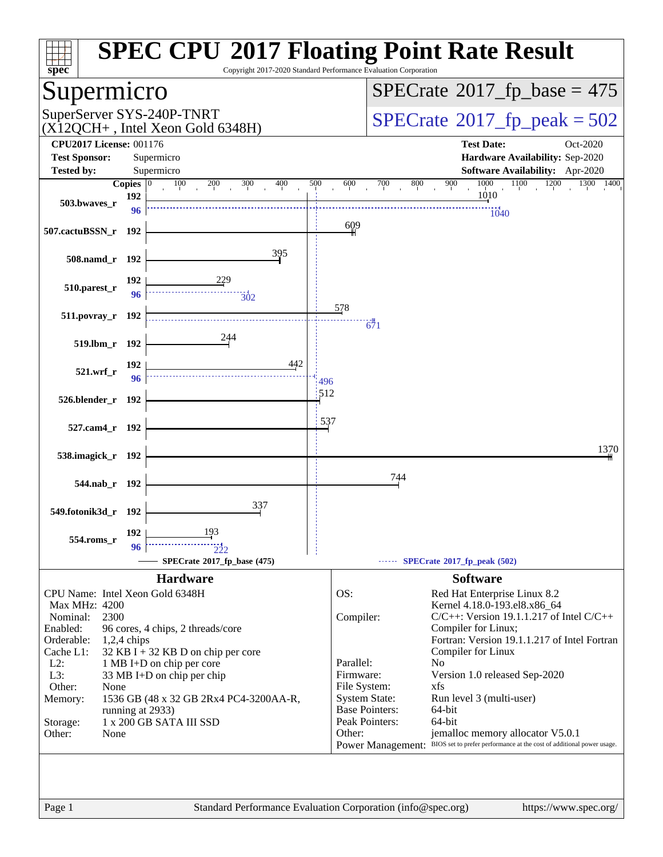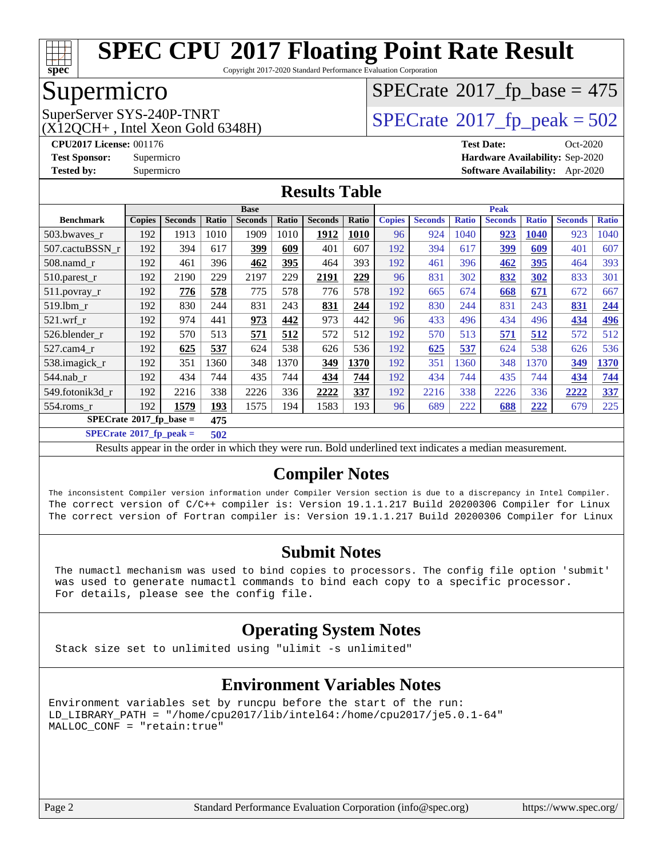

Copyright 2017-2020 Standard Performance Evaluation Corporation

# Supermicro

 $(X12OCH+$ , Intel Xeon Gold 6348H)

# $SPECrate$ <sup>®</sup>[2017\\_fp\\_base =](http://www.spec.org/auto/cpu2017/Docs/result-fields.html#SPECrate2017fpbase) 475

SuperServer SYS-240P-TNRT  $SUS - 40P$ -TNRT  $SPECrate \degree 2017$  $SPECrate \degree 2017$   $fp$  peak = 502

**[CPU2017 License:](http://www.spec.org/auto/cpu2017/Docs/result-fields.html#CPU2017License)** 001176 **[Test Date:](http://www.spec.org/auto/cpu2017/Docs/result-fields.html#TestDate)** Oct-2020 **[Test Sponsor:](http://www.spec.org/auto/cpu2017/Docs/result-fields.html#TestSponsor)** Supermicro **[Hardware Availability:](http://www.spec.org/auto/cpu2017/Docs/result-fields.html#HardwareAvailability)** Sep-2020 **[Tested by:](http://www.spec.org/auto/cpu2017/Docs/result-fields.html#Testedby)** Supermicro **[Software Availability:](http://www.spec.org/auto/cpu2017/Docs/result-fields.html#SoftwareAvailability)** Apr-2020

#### **[Results Table](http://www.spec.org/auto/cpu2017/Docs/result-fields.html#ResultsTable)**

|                  | <b>Base</b>                        |                |              |                | <b>Peak</b> |                |       |               |                |              |                |              |                |              |
|------------------|------------------------------------|----------------|--------------|----------------|-------------|----------------|-------|---------------|----------------|--------------|----------------|--------------|----------------|--------------|
| <b>Benchmark</b> | <b>Copies</b>                      | <b>Seconds</b> | <b>Ratio</b> | <b>Seconds</b> | Ratio       | <b>Seconds</b> | Ratio | <b>Copies</b> | <b>Seconds</b> | <b>Ratio</b> | <b>Seconds</b> | <b>Ratio</b> | <b>Seconds</b> | <b>Ratio</b> |
| 503.bwayes r     | 192                                | 1913           | 1010         | 1909           | 1010        | 1912           | 1010  | 96            | 924            | 1040         | 923            | 1040         | 923            | 1040         |
| 507.cactuBSSN r  | 192                                | 394            | 617          | 399            | 609         | 401            | 607   | 192           | 394            | 617          | 399            | 609          | 401            | 607          |
| $508$ .namd $r$  | 192                                | 461            | 396          | 462            | 395         | 464            | 393   | 192           | 461            | 396          | 462            | 395          | 464            | 393          |
| $510.parest_r$   | 192                                | 2190           | 229          | 2197           | 229         | 2191           | 229   | 96            | 831            | 302          | 832            | 302          | 833            | 301          |
| 511.povray_r     | 192                                | 776            | 578          | 775            | 578         | 776            | 578   | 192           | 665            | 674          | 668            | 671          | 672            | 667          |
| 519.lbm r        | 192                                | 830            | 244          | 831            | 243         | 831            | 244   | 192           | 830            | 244          | 831            | 243          | 831            | 244          |
| $521$ .wrf r     | 192                                | 974            | 441          | 973            | 442         | 973            | 442   | 96            | 433            | 496          | 434            | 496          | 434            | 496          |
| 526.blender_r    | 192                                | 570            | 513          | 571            | 512         | 572            | 512   | 192           | 570            | 513          | 571            | 512          | 572            | 512          |
| 527.cam4 r       | 192                                | 625            | 537          | 624            | 538         | 626            | 536   | 192           | 625            | 537          | 624            | 538          | 626            | 536          |
| 538.imagick_r    | 192                                | 351            | 1360         | 348            | 1370        | 349            | 1370  | 192           | 351            | 1360         | 348            | 1370         | 349            | 1370         |
| $544$ .nab r     | 192                                | 434            | 744          | 435            | 744         | 434            | 744   | 192           | 434            | 744          | 435            | 744          | 434            | 744          |
| 549.fotonik3d r  | 192                                | 2216           | 338          | 2226           | 336         | 2222           | 337   | 192           | 2216           | 338          | 2226           | 336          | 2222           | 337          |
| 554.roms r       | 192                                | 1579           | 193          | 1575           | 194         | 1583           | 193   | 96            | 689            | 222          | 688            | 222          | 679            | 225          |
|                  | $SPECrate^*2017_fp\_base =$<br>475 |                |              |                |             |                |       |               |                |              |                |              |                |              |

**[SPECrate](http://www.spec.org/auto/cpu2017/Docs/result-fields.html#SPECrate2017fppeak)[2017\\_fp\\_peak =](http://www.spec.org/auto/cpu2017/Docs/result-fields.html#SPECrate2017fppeak) 502**

Results appear in the [order in which they were run](http://www.spec.org/auto/cpu2017/Docs/result-fields.html#RunOrder). Bold underlined text [indicates a median measurement](http://www.spec.org/auto/cpu2017/Docs/result-fields.html#Median).

### **[Compiler Notes](http://www.spec.org/auto/cpu2017/Docs/result-fields.html#CompilerNotes)**

The inconsistent Compiler version information under Compiler Version section is due to a discrepancy in Intel Compiler. The correct version of C/C++ compiler is: Version 19.1.1.217 Build 20200306 Compiler for Linux The correct version of Fortran compiler is: Version 19.1.1.217 Build 20200306 Compiler for Linux

### **[Submit Notes](http://www.spec.org/auto/cpu2017/Docs/result-fields.html#SubmitNotes)**

 The numactl mechanism was used to bind copies to processors. The config file option 'submit' was used to generate numactl commands to bind each copy to a specific processor. For details, please see the config file.

### **[Operating System Notes](http://www.spec.org/auto/cpu2017/Docs/result-fields.html#OperatingSystemNotes)**

Stack size set to unlimited using "ulimit -s unlimited"

### **[Environment Variables Notes](http://www.spec.org/auto/cpu2017/Docs/result-fields.html#EnvironmentVariablesNotes)**

Environment variables set by runcpu before the start of the run: LD\_LIBRARY\_PATH = "/home/cpu2017/lib/intel64:/home/cpu2017/je5.0.1-64" MALLOC\_CONF = "retain:true"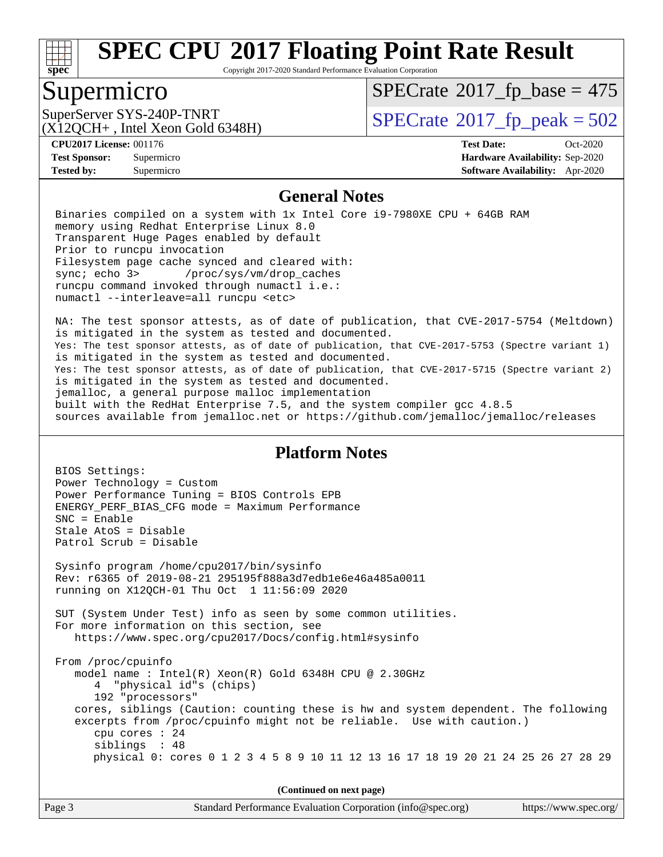

Copyright 2017-2020 Standard Performance Evaluation Corporation

## Supermicro

 $SPECTate$ <sup>®</sup>[2017\\_fp\\_base =](http://www.spec.org/auto/cpu2017/Docs/result-fields.html#SPECrate2017fpbase) 475

(X12QCH+ , Intel Xeon Gold 6348H)

SuperServer SYS-240P-TNRT  $\begin{array}{c|c}\n\text{SuperServer SYS-240P-TNRT} & & \text{SPECrate} \n\hline\n\text{SPECrate} \n\end{array}$  $\begin{array}{c|c}\n\text{SuperServer SYS-240P-TNRT} & & \text{SPECrate} \n\hline\n\text{SPECrate} \n\end{array}$  $\begin{array}{c|c}\n\text{SuperServer SYS-240P-TNRT} & & \text{SPECrate} \n\hline\n\text{SPECrate} \n\end{array}$ 

BIOS Settings:

**[Tested by:](http://www.spec.org/auto/cpu2017/Docs/result-fields.html#Testedby)** Supermicro **[Software Availability:](http://www.spec.org/auto/cpu2017/Docs/result-fields.html#SoftwareAvailability)** Apr-2020

**[CPU2017 License:](http://www.spec.org/auto/cpu2017/Docs/result-fields.html#CPU2017License)** 001176 **[Test Date:](http://www.spec.org/auto/cpu2017/Docs/result-fields.html#TestDate)** Oct-2020 **[Test Sponsor:](http://www.spec.org/auto/cpu2017/Docs/result-fields.html#TestSponsor)** Supermicro **[Hardware Availability:](http://www.spec.org/auto/cpu2017/Docs/result-fields.html#HardwareAvailability)** Sep-2020

#### **[General Notes](http://www.spec.org/auto/cpu2017/Docs/result-fields.html#GeneralNotes)**

 Binaries compiled on a system with 1x Intel Core i9-7980XE CPU + 64GB RAM memory using Redhat Enterprise Linux 8.0 Transparent Huge Pages enabled by default Prior to runcpu invocation Filesystem page cache synced and cleared with: sync; echo 3> /proc/sys/vm/drop\_caches runcpu command invoked through numactl i.e.: numactl --interleave=all runcpu <etc>

 NA: The test sponsor attests, as of date of publication, that CVE-2017-5754 (Meltdown) is mitigated in the system as tested and documented. Yes: The test sponsor attests, as of date of publication, that CVE-2017-5753 (Spectre variant 1) is mitigated in the system as tested and documented. Yes: The test sponsor attests, as of date of publication, that CVE-2017-5715 (Spectre variant 2) is mitigated in the system as tested and documented. jemalloc, a general purpose malloc implementation built with the RedHat Enterprise 7.5, and the system compiler gcc 4.8.5 sources available from jemalloc.net or<https://github.com/jemalloc/jemalloc/releases>

#### **[Platform Notes](http://www.spec.org/auto/cpu2017/Docs/result-fields.html#PlatformNotes)**

| (Continued on next page)                                                                                                                                                                                                                                                                                                                                                                                                  |  |  |  |  |
|---------------------------------------------------------------------------------------------------------------------------------------------------------------------------------------------------------------------------------------------------------------------------------------------------------------------------------------------------------------------------------------------------------------------------|--|--|--|--|
| From /proc/cpuinfo<br>model name: $Intel(R)$ Xeon $(R)$ Gold 6348H CPU @ 2.30GHz<br>4 "physical id"s (chips)<br>192 "processors"<br>cores, siblings (Caution: counting these is hw and system dependent. The following<br>excerpts from /proc/cpuinfo might not be reliable. Use with caution.)<br>cpu cores $: 24$<br>siblings : 48<br>physical 0: cores 0 1 2 3 4 5 8 9 10 11 12 13 16 17 18 19 20 21 24 25 26 27 28 29 |  |  |  |  |
| SUT (System Under Test) info as seen by some common utilities.<br>For more information on this section, see<br>https://www.spec.org/cpu2017/Docs/config.html#sysinfo                                                                                                                                                                                                                                                      |  |  |  |  |
| Sysinfo program /home/cpu2017/bin/sysinfo<br>Rev: r6365 of 2019-08-21 295195f888a3d7edb1e6e46a485a0011<br>running on X12QCH-01 Thu Oct 1 11:56:09 2020                                                                                                                                                                                                                                                                    |  |  |  |  |
| ENERGY_PERF_BIAS_CFG mode = Maximum Performance<br>$SNC = Enable$<br>Stale AtoS = Disable<br>Patrol Scrub = Disable                                                                                                                                                                                                                                                                                                       |  |  |  |  |
| BIOS Settings:<br>Power Technology = Custom<br>Power Performance Tuning = BIOS Controls EPB                                                                                                                                                                                                                                                                                                                               |  |  |  |  |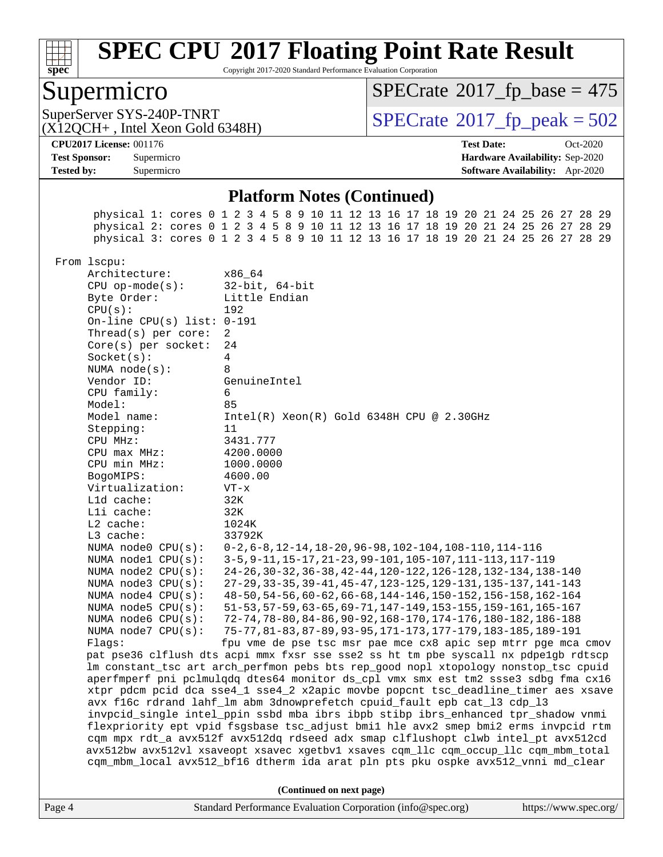

Copyright 2017-2020 Standard Performance Evaluation Corporation

### Supermicro

 $SPECTate$ <sup>®</sup>[2017\\_fp\\_base =](http://www.spec.org/auto/cpu2017/Docs/result-fields.html#SPECrate2017fpbase) 475

(X12QCH+ , Intel Xeon Gold 6348H)

SuperServer SYS-240P-TNRT  $\begin{array}{c|c}\n\text{SuperServer SYS-240P-TNRT} & & \text{SPECrate} \n\hline\n\text{SPECrate} \n\end{array}$  $\begin{array}{c|c}\n\text{SuperServer SYS-240P-TNRT} & & \text{SPECrate} \n\hline\n\text{SPECrate} \n\end{array}$  $\begin{array}{c|c}\n\text{SuperServer SYS-240P-TNRT} & & \text{SPECrate} \n\hline\n\text{SPECrate} \n\end{array}$ 

**[Tested by:](http://www.spec.org/auto/cpu2017/Docs/result-fields.html#Testedby)** Supermicro **[Software Availability:](http://www.spec.org/auto/cpu2017/Docs/result-fields.html#SoftwareAvailability)** Apr-2020

**[CPU2017 License:](http://www.spec.org/auto/cpu2017/Docs/result-fields.html#CPU2017License)** 001176 **[Test Date:](http://www.spec.org/auto/cpu2017/Docs/result-fields.html#TestDate)** Oct-2020 **[Test Sponsor:](http://www.spec.org/auto/cpu2017/Docs/result-fields.html#TestSponsor)** Supermicro **[Hardware Availability:](http://www.spec.org/auto/cpu2017/Docs/result-fields.html#HardwareAvailability)** Sep-2020

#### **[Platform Notes \(Continued\)](http://www.spec.org/auto/cpu2017/Docs/result-fields.html#PlatformNotes)**

Page 4 Standard Performance Evaluation Corporation [\(info@spec.org\)](mailto:info@spec.org) <https://www.spec.org/> physical 1: cores 0 1 2 3 4 5 8 9 10 11 12 13 16 17 18 19 20 21 24 25 26 27 28 29 physical 2: cores 0 1 2 3 4 5 8 9 10 11 12 13 16 17 18 19 20 21 24 25 26 27 28 29 physical 3: cores 0 1 2 3 4 5 8 9 10 11 12 13 16 17 18 19 20 21 24 25 26 27 28 29 From lscpu: Architecture: x86\_64 CPU op-mode(s): 32-bit, 64-bit Byte Order: Little Endian CPU(s): 192 On-line CPU(s) list: 0-191 Thread(s) per core: 2 Core(s) per socket: 24 Socket(s): 4 NUMA node(s): 8 Vendor ID: GenuineIntel CPU family: 6 Model: 85 Model name: Intel(R) Xeon(R) Gold 6348H CPU @ 2.30GHz Stepping: 11 CPU MHz: 3431.777 CPU max MHz: 4200.0000 CPU min MHz: 1000.0000 BogoMIPS: 4600.00 Virtualization: VT-x L1d cache: 32K L1i cache: 32K L2 cache: 1024K L3 cache: 33792K NUMA node0 CPU(s): 0-2,6-8,12-14,18-20,96-98,102-104,108-110,114-116 NUMA node1 CPU(s): 3-5,9-11,15-17,21-23,99-101,105-107,111-113,117-119 NUMA node2 CPU(s): 24-26,30-32,36-38,42-44,120-122,126-128,132-134,138-140 NUMA node3 CPU(s): 27-29,33-35,39-41,45-47,123-125,129-131,135-137,141-143 NUMA node4 CPU(s): 48-50,54-56,60-62,66-68,144-146,150-152,156-158,162-164 NUMA node5 CPU(s): 51-53,57-59,63-65,69-71,147-149,153-155,159-161,165-167 NUMA node6 CPU(s): 72-74,78-80,84-86,90-92,168-170,174-176,180-182,186-188 NUMA node7 CPU(s): 75-77,81-83,87-89,93-95,171-173,177-179,183-185,189-191 Flags: fpu vme de pse tsc msr pae mce cx8 apic sep mtrr pge mca cmov pat pse36 clflush dts acpi mmx fxsr sse sse2 ss ht tm pbe syscall nx pdpe1gb rdtscp lm constant\_tsc art arch\_perfmon pebs bts rep\_good nopl xtopology nonstop\_tsc cpuid aperfmperf pni pclmulqdq dtes64 monitor ds\_cpl vmx smx est tm2 ssse3 sdbg fma cx16 xtpr pdcm pcid dca sse4\_1 sse4\_2 x2apic movbe popcnt tsc\_deadline\_timer aes xsave avx f16c rdrand lahf\_lm abm 3dnowprefetch cpuid\_fault epb cat\_l3 cdp\_l3 invpcid\_single intel\_ppin ssbd mba ibrs ibpb stibp ibrs\_enhanced tpr\_shadow vnmi flexpriority ept vpid fsgsbase tsc\_adjust bmi1 hle avx2 smep bmi2 erms invpcid rtm cqm mpx rdt\_a avx512f avx512dq rdseed adx smap clflushopt clwb intel\_pt avx512cd avx512bw avx512vl xsaveopt xsavec xgetbv1 xsaves cqm\_llc cqm\_occup\_llc cqm\_mbm\_total cqm\_mbm\_local avx512\_bf16 dtherm ida arat pln pts pku ospke avx512\_vnni md\_clear **(Continued on next page)**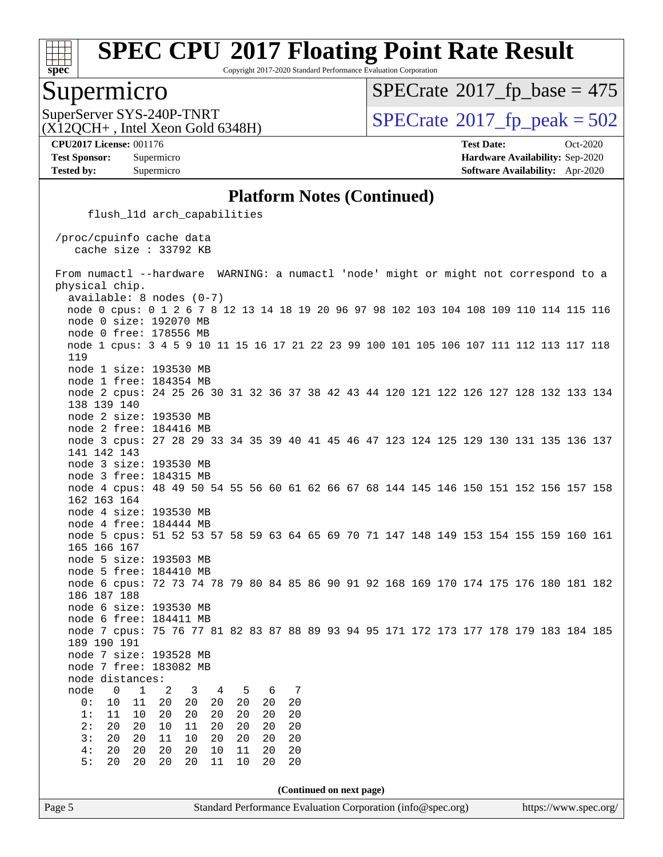

Copyright 2017-2020 Standard Performance Evaluation Corporation

### Supermicro

 $SPECTate$ <sup>®</sup>[2017\\_fp\\_base =](http://www.spec.org/auto/cpu2017/Docs/result-fields.html#SPECrate2017fpbase) 475

(X12QCH+ , Intel Xeon Gold 6348H)

SuperServer SYS-240P-TNRT  $\begin{array}{c|c}\n\text{SuperServer SYS-240P-TNRT} & & \text{SPECrate} \n\hline\n\text{SPECrate} \n\end{array}$  $\begin{array}{c|c}\n\text{SuperServer SYS-240P-TNRT} & & \text{SPECrate} \n\hline\n\text{SPECrate} \n\end{array}$  $\begin{array}{c|c}\n\text{SuperServer SYS-240P-TNRT} & & \text{SPECrate} \n\hline\n\text{SPECrate} \n\end{array}$ 

**[CPU2017 License:](http://www.spec.org/auto/cpu2017/Docs/result-fields.html#CPU2017License)** 001176 **[Test Date:](http://www.spec.org/auto/cpu2017/Docs/result-fields.html#TestDate)** Oct-2020 **[Test Sponsor:](http://www.spec.org/auto/cpu2017/Docs/result-fields.html#TestSponsor)** Supermicro **[Hardware Availability:](http://www.spec.org/auto/cpu2017/Docs/result-fields.html#HardwareAvailability)** Sep-2020 **[Tested by:](http://www.spec.org/auto/cpu2017/Docs/result-fields.html#Testedby)** Supermicro **[Software Availability:](http://www.spec.org/auto/cpu2017/Docs/result-fields.html#SoftwareAvailability)** Apr-2020

#### **[Platform Notes \(Continued\)](http://www.spec.org/auto/cpu2017/Docs/result-fields.html#PlatformNotes)**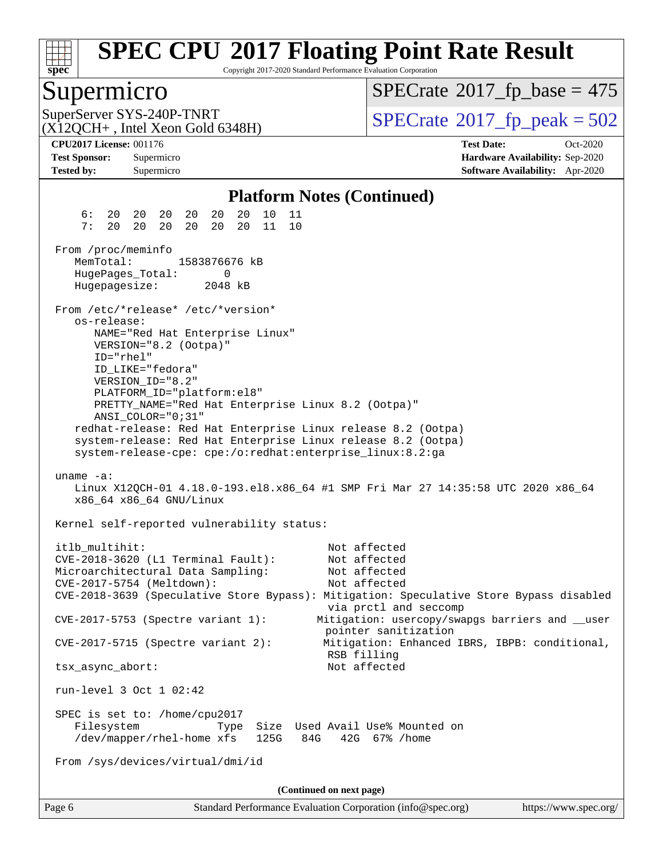

Copyright 2017-2020 Standard Performance Evaluation Corporation

### Supermicro

 $SPECTate$ <sup>®</sup>[2017\\_fp\\_base =](http://www.spec.org/auto/cpu2017/Docs/result-fields.html#SPECrate2017fpbase) 475

(X12QCH+ , Intel Xeon Gold 6348H)

SuperServer SYS-240P-TNRT  $\begin{array}{c|c}\n\text{SPECTate} \textcirc 2017\_fp\_peak = 502 \\
\hline\n\end{array}$ 

**[Tested by:](http://www.spec.org/auto/cpu2017/Docs/result-fields.html#Testedby)** Supermicro **[Software Availability:](http://www.spec.org/auto/cpu2017/Docs/result-fields.html#SoftwareAvailability)** Apr-2020

**[CPU2017 License:](http://www.spec.org/auto/cpu2017/Docs/result-fields.html#CPU2017License)** 001176 **[Test Date:](http://www.spec.org/auto/cpu2017/Docs/result-fields.html#TestDate)** Oct-2020 **[Test Sponsor:](http://www.spec.org/auto/cpu2017/Docs/result-fields.html#TestSponsor)** Supermicro **[Hardware Availability:](http://www.spec.org/auto/cpu2017/Docs/result-fields.html#HardwareAvailability)** Sep-2020

#### **[Platform Notes \(Continued\)](http://www.spec.org/auto/cpu2017/Docs/result-fields.html#PlatformNotes)**

 6: 20 20 20 20 20 20 10 11 7: 20 20 20 20 20 20 11 10 From /proc/meminfo MemTotal: 1583876676 kB HugePages\_Total: 0 Hugepagesize: 2048 kB From /etc/\*release\* /etc/\*version\* os-release: NAME="Red Hat Enterprise Linux" VERSION="8.2 (Ootpa)" ID="rhel" ID\_LIKE="fedora" VERSION\_ID="8.2" PLATFORM\_ID="platform:el8" PRETTY\_NAME="Red Hat Enterprise Linux 8.2 (Ootpa)" ANSI\_COLOR="0;31" redhat-release: Red Hat Enterprise Linux release 8.2 (Ootpa) system-release: Red Hat Enterprise Linux release 8.2 (Ootpa) system-release-cpe: cpe:/o:redhat:enterprise\_linux:8.2:ga uname -a: Linux X12QCH-01 4.18.0-193.el8.x86\_64 #1 SMP Fri Mar 27 14:35:58 UTC 2020 x86\_64 x86\_64 x86\_64 GNU/Linux Kernel self-reported vulnerability status: itlb\_multihit: Not affected CVE-2018-3620 (L1 Terminal Fault): Not affected Microarchitectural Data Sampling: CVE-2017-5754 (Meltdown): Not affected CVE-2018-3639 (Speculative Store Bypass): Mitigation: Speculative Store Bypass disabled via prctl and seccomp CVE-2017-5753 (Spectre variant 1): Mitigation: usercopy/swapgs barriers and \_\_user pointer sanitization CVE-2017-5715 (Spectre variant 2): Mitigation: Enhanced IBRS, IBPB: conditional, RSB filling tsx\_async\_abort: Not affected run-level 3 Oct 1 02:42 SPEC is set to: /home/cpu2017 Filesystem Type Size Used Avail Use% Mounted on /dev/mapper/rhel-home xfs 125G 84G 42G 67% /home From /sys/devices/virtual/dmi/id **(Continued on next page)**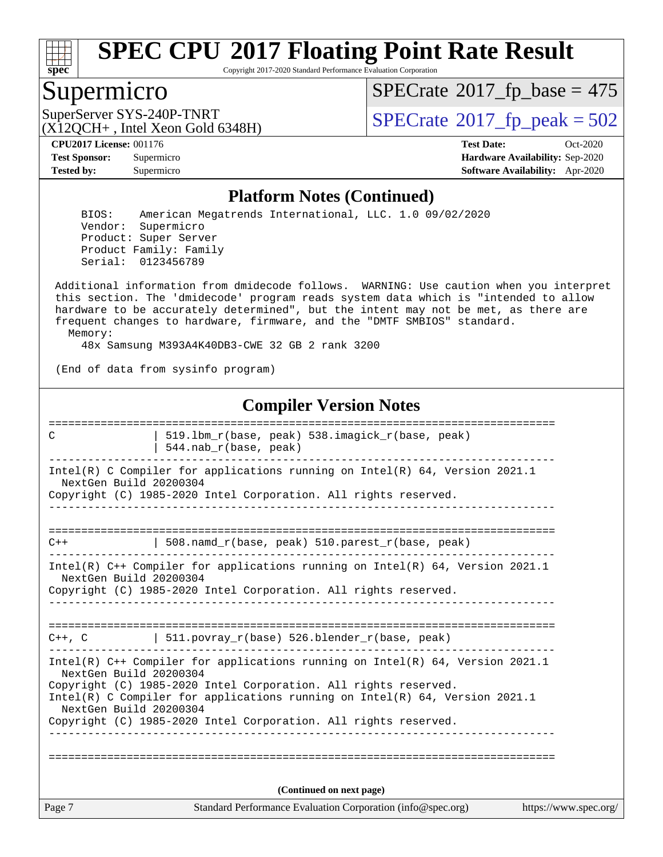

Copyright 2017-2020 Standard Performance Evaluation Corporation

### Supermicro

 $SPECrate$ <sup>®</sup>[2017\\_fp\\_base =](http://www.spec.org/auto/cpu2017/Docs/result-fields.html#SPECrate2017fpbase) 475

(X12QCH+ , Intel Xeon Gold 6348H)

SuperServer SYS-240P-TNRT<br>(X12OCH+ Intel Xeon Gold 6348H)  $\text{SPECrate}$  $\text{SPECrate}$  $\text{SPECrate}$ <sup>®</sup>[2017\\_fp\\_peak = 5](http://www.spec.org/auto/cpu2017/Docs/result-fields.html#SPECrate2017fppeak)02

**[Tested by:](http://www.spec.org/auto/cpu2017/Docs/result-fields.html#Testedby)** Supermicro **[Software Availability:](http://www.spec.org/auto/cpu2017/Docs/result-fields.html#SoftwareAvailability)** Apr-2020

**[CPU2017 License:](http://www.spec.org/auto/cpu2017/Docs/result-fields.html#CPU2017License)** 001176 **[Test Date:](http://www.spec.org/auto/cpu2017/Docs/result-fields.html#TestDate)** Oct-2020 **[Test Sponsor:](http://www.spec.org/auto/cpu2017/Docs/result-fields.html#TestSponsor)** Supermicro **[Hardware Availability:](http://www.spec.org/auto/cpu2017/Docs/result-fields.html#HardwareAvailability)** Sep-2020

#### **[Platform Notes \(Continued\)](http://www.spec.org/auto/cpu2017/Docs/result-fields.html#PlatformNotes)**

 BIOS: American Megatrends International, LLC. 1.0 09/02/2020 Vendor: Supermicro Product: Super Server Product Family: Family Serial: 0123456789

 Additional information from dmidecode follows. WARNING: Use caution when you interpret this section. The 'dmidecode' program reads system data which is "intended to allow hardware to be accurately determined", but the intent may not be met, as there are frequent changes to hardware, firmware, and the "DMTF SMBIOS" standard. Memory:

48x Samsung M393A4K40DB3-CWE 32 GB 2 rank 3200

(End of data from sysinfo program)

#### **[Compiler Version Notes](http://www.spec.org/auto/cpu2017/Docs/result-fields.html#CompilerVersionNotes)**

| C                                                | 519.1bm r(base, peak) 538.imagick r(base, peak)<br>544.nab_r(base, peak)                                                                                                                                                                                                                                |                       |
|--------------------------------------------------|---------------------------------------------------------------------------------------------------------------------------------------------------------------------------------------------------------------------------------------------------------------------------------------------------------|-----------------------|
| NextGen Build 20200304                           | Intel(R) C Compiler for applications running on $Intel(R) 64$ , Version 2021.1<br>Copyright (C) 1985-2020 Intel Corporation. All rights reserved.                                                                                                                                                       |                       |
| $C++$                                            | 508.namd_r(base, peak) 510.parest_r(base, peak)                                                                                                                                                                                                                                                         |                       |
| NextGen Build 20200304                           | Intel(R) $C++$ Compiler for applications running on Intel(R) 64, Version 2021.1<br>Copyright (C) 1985-2020 Intel Corporation. All rights reserved.                                                                                                                                                      |                       |
|                                                  | $C++$ , C $511.$ povray_r(base) 526.blender_r(base, peak)                                                                                                                                                                                                                                               |                       |
| NextGen Build 20200304<br>NextGen Build 20200304 | Intel(R) $C++$ Compiler for applications running on Intel(R) 64, Version 2021.1<br>Copyright (C) 1985-2020 Intel Corporation. All rights reserved.<br>Intel(R) C Compiler for applications running on Intel(R) $64$ , Version 2021.1<br>Copyright (C) 1985-2020 Intel Corporation. All rights reserved. |                       |
|                                                  | (Continued on next page)                                                                                                                                                                                                                                                                                |                       |
| Page 7                                           | Standard Performance Evaluation Corporation (info@spec.org)                                                                                                                                                                                                                                             | https://www.spec.org/ |
|                                                  |                                                                                                                                                                                                                                                                                                         |                       |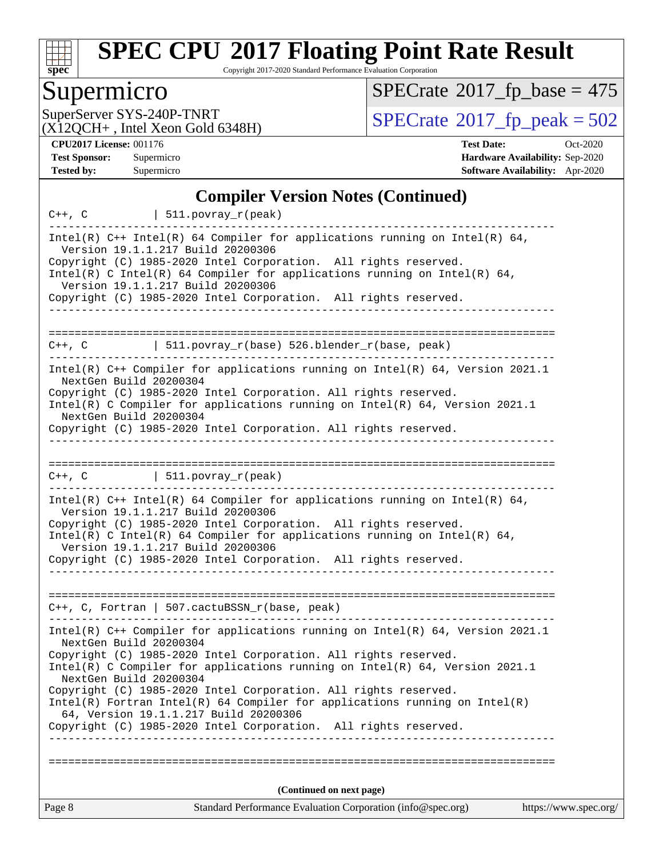

Copyright 2017-2020 Standard Performance Evaluation Corporation

# Supermicro

 $SPECrate$ <sup>®</sup>[2017\\_fp\\_base =](http://www.spec.org/auto/cpu2017/Docs/result-fields.html#SPECrate2017fpbase) 475

(X12QCH+ , Intel Xeon Gold 6348H)

SuperServer SYS-240P-TNRT<br>(X12OCH+ Intel Xeon Gold 6348H) [SPECrate](http://www.spec.org/auto/cpu2017/Docs/result-fields.html#SPECrate2017fppeak)®[2017\\_fp\\_peak = 5](http://www.spec.org/auto/cpu2017/Docs/result-fields.html#SPECrate2017fppeak)02

**[CPU2017 License:](http://www.spec.org/auto/cpu2017/Docs/result-fields.html#CPU2017License)** 001176 **[Test Date:](http://www.spec.org/auto/cpu2017/Docs/result-fields.html#TestDate)** Oct-2020 **[Test Sponsor:](http://www.spec.org/auto/cpu2017/Docs/result-fields.html#TestSponsor)** Supermicro **[Hardware Availability:](http://www.spec.org/auto/cpu2017/Docs/result-fields.html#HardwareAvailability)** Sep-2020 **[Tested by:](http://www.spec.org/auto/cpu2017/Docs/result-fields.html#Testedby)** Supermicro **[Software Availability:](http://www.spec.org/auto/cpu2017/Docs/result-fields.html#SoftwareAvailability)** Apr-2020

#### **[Compiler Version Notes \(Continued\)](http://www.spec.org/auto/cpu2017/Docs/result-fields.html#CompilerVersionNotes)**

|                                                  | $C++$ , $C$   511.povray_r(peak)                                                                                                                                                                                                                                                                                                                                                                                                                                                                     |                       |
|--------------------------------------------------|------------------------------------------------------------------------------------------------------------------------------------------------------------------------------------------------------------------------------------------------------------------------------------------------------------------------------------------------------------------------------------------------------------------------------------------------------------------------------------------------------|-----------------------|
|                                                  | Intel(R) $C++$ Intel(R) 64 Compiler for applications running on Intel(R) 64,<br>Version 19.1.1.217 Build 20200306<br>Copyright (C) 1985-2020 Intel Corporation. All rights reserved.<br>Intel(R) C Intel(R) 64 Compiler for applications running on Intel(R) 64,<br>Version 19.1.1.217 Build 20200306<br>Copyright (C) 1985-2020 Intel Corporation. All rights reserved.                                                                                                                             |                       |
|                                                  |                                                                                                                                                                                                                                                                                                                                                                                                                                                                                                      |                       |
|                                                  | $C++$ , C $\qquad$   511.povray_r(base) 526.blender_r(base, peak)                                                                                                                                                                                                                                                                                                                                                                                                                                    |                       |
| NextGen Build 20200304<br>NextGen Build 20200304 | Intel(R) C++ Compiler for applications running on Intel(R) 64, Version 2021.1<br>Copyright (C) 1985-2020 Intel Corporation. All rights reserved.<br>Intel(R) C Compiler for applications running on Intel(R) 64, Version 2021.1<br>Copyright (C) 1985-2020 Intel Corporation. All rights reserved.                                                                                                                                                                                                   |                       |
|                                                  | $C++$ , C $\qquad \qquad \vert$ 511.povray_r(peak)                                                                                                                                                                                                                                                                                                                                                                                                                                                   |                       |
|                                                  | Intel(R) $C++$ Intel(R) 64 Compiler for applications running on Intel(R) 64,<br>Version 19.1.1.217 Build 20200306<br>Copyright (C) 1985-2020 Intel Corporation. All rights reserved.<br>Intel(R) C Intel(R) 64 Compiler for applications running on Intel(R) 64,<br>Version 19.1.1.217 Build 20200306<br>Copyright (C) 1985-2020 Intel Corporation. All rights reserved.<br>.                                                                                                                        |                       |
|                                                  | $C++$ , C, Fortran   507.cactuBSSN_r(base, peak)                                                                                                                                                                                                                                                                                                                                                                                                                                                     |                       |
| NextGen Build 20200304<br>NextGen Build 20200304 | Intel(R) $C++$ Compiler for applications running on Intel(R) 64, Version 2021.1<br>Copyright (C) 1985-2020 Intel Corporation. All rights reserved.<br>Intel(R) C Compiler for applications running on $Intel(R) 64$ , Version 2021.1<br>Copyright (C) 1985-2020 Intel Corporation. All rights reserved.<br>Intel(R) Fortran Intel(R) 64 Compiler for applications running on Intel(R)<br>64, Version 19.1.1.217 Build 20200306<br>Copyright (C) 1985-2020 Intel Corporation.<br>All rights reserved. |                       |
|                                                  |                                                                                                                                                                                                                                                                                                                                                                                                                                                                                                      |                       |
| Page 8                                           | (Continued on next page)<br>Standard Performance Evaluation Corporation (info@spec.org)                                                                                                                                                                                                                                                                                                                                                                                                              | https://www.spec.org/ |
|                                                  |                                                                                                                                                                                                                                                                                                                                                                                                                                                                                                      |                       |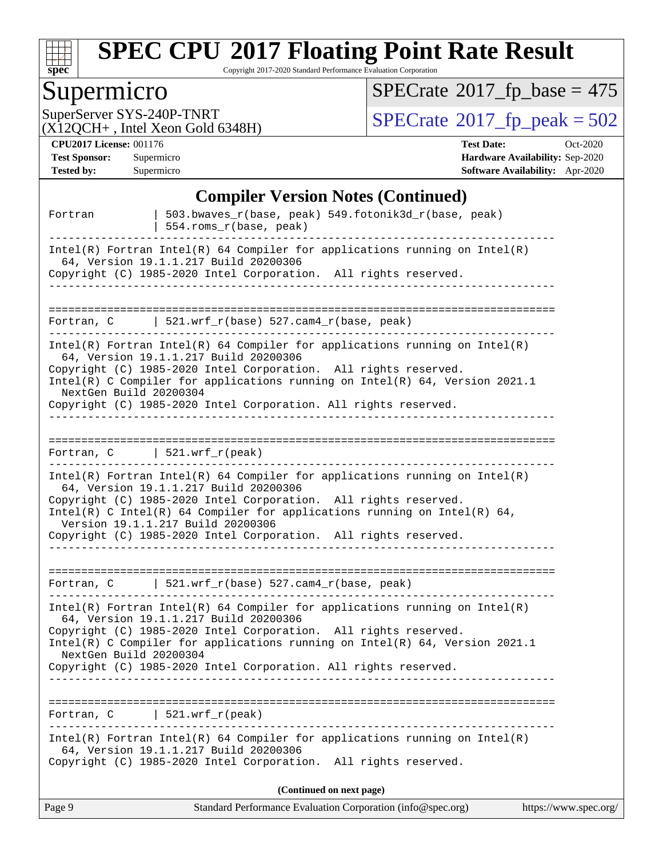

Copyright 2017-2020 Standard Performance Evaluation Corporation

# Supermicro<br>SuperServer SYS-240P-TNRT

 $SPECrate$ <sup>®</sup>[2017\\_fp\\_base =](http://www.spec.org/auto/cpu2017/Docs/result-fields.html#SPECrate2017fpbase) 475

(X12QCH+ , Intel Xeon Gold 6348H)

 $SPECTate@2017_fp\_peak = 502$ 

#### **[CPU2017 License:](http://www.spec.org/auto/cpu2017/Docs/result-fields.html#CPU2017License)** 001176

| <b>CPU2017 License: 001176</b> |            | <b>Test Date:</b>                      | Oct-2020 |
|--------------------------------|------------|----------------------------------------|----------|
| <b>Test Sponsor:</b>           | Supermicro | <b>Hardware Availability: Sep-2020</b> |          |
| Tested by:                     | Supermicro | <b>Software Availability:</b> Apr-2020 |          |

### **[Compiler Version Notes \(Continued\)](http://www.spec.org/auto/cpu2017/Docs/result-fields.html#CompilerVersionNotes)**

| Page 9                 | Standard Performance Evaluation Corporation (info@spec.org)<br>https://www.spec.org/                                                                                                                                                                                                                                                                                         |
|------------------------|------------------------------------------------------------------------------------------------------------------------------------------------------------------------------------------------------------------------------------------------------------------------------------------------------------------------------------------------------------------------------|
|                        | (Continued on next page)                                                                                                                                                                                                                                                                                                                                                     |
|                        | $Intel(R)$ Fortran Intel(R) 64 Compiler for applications running on Intel(R)<br>64, Version 19.1.1.217 Build 20200306<br>Copyright (C) 1985-2020 Intel Corporation. All rights reserved.                                                                                                                                                                                     |
| Fortran, C             | $521.wrf\_r (peak)$                                                                                                                                                                                                                                                                                                                                                          |
|                        | Copyright (C) 1985-2020 Intel Corporation. All rights reserved.                                                                                                                                                                                                                                                                                                              |
| NextGen Build 20200304 | Intel(R) C Compiler for applications running on Intel(R) 64, Version 2021.1                                                                                                                                                                                                                                                                                                  |
|                        | 64, Version 19.1.1.217 Build 20200306<br>Copyright (C) 1985-2020 Intel Corporation. All rights reserved.                                                                                                                                                                                                                                                                     |
|                        | $Intel(R)$ Fortran Intel(R) 64 Compiler for applications running on Intel(R)                                                                                                                                                                                                                                                                                                 |
|                        | Fortran, $C$   521.wrf_r(base) 527.cam4_r(base, peak)                                                                                                                                                                                                                                                                                                                        |
|                        | $Intel(R)$ Fortran Intel(R) 64 Compiler for applications running on Intel(R)<br>64, Version 19.1.1.217 Build 20200306<br>Copyright (C) 1985-2020 Intel Corporation. All rights reserved.<br>Intel(R) C Intel(R) 64 Compiler for applications running on Intel(R) 64,<br>Version 19.1.1.217 Build 20200306<br>Copyright (C) 1985-2020 Intel Corporation. All rights reserved. |
|                        | Fortran, $C$   521.wrf_r(peak)                                                                                                                                                                                                                                                                                                                                               |
|                        |                                                                                                                                                                                                                                                                                                                                                                              |
| NextGen Build 20200304 | Intel(R) C Compiler for applications running on Intel(R) 64, Version 2021.1<br>Copyright (C) 1985-2020 Intel Corporation. All rights reserved.                                                                                                                                                                                                                               |
|                        | $Intel(R)$ Fortran Intel(R) 64 Compiler for applications running on Intel(R)<br>64, Version 19.1.1.217 Build 20200306<br>Copyright (C) 1985-2020 Intel Corporation. All rights reserved.                                                                                                                                                                                     |
|                        | Fortran, C 521.wrf_r(base) 527.cam4_r(base, peak)                                                                                                                                                                                                                                                                                                                            |
|                        | ---------------------------                                                                                                                                                                                                                                                                                                                                                  |
|                        | $Intel(R)$ Fortran Intel(R) 64 Compiler for applications running on Intel(R)<br>64, Version 19.1.1.217 Build 20200306<br>Copyright (C) 1985-2020 Intel Corporation. All rights reserved.                                                                                                                                                                                     |
| Fortran                | 503.bwaves_r(base, peak) 549.fotonik3d_r(base, peak)<br>554.roms_r(base, peak)                                                                                                                                                                                                                                                                                               |
|                        |                                                                                                                                                                                                                                                                                                                                                                              |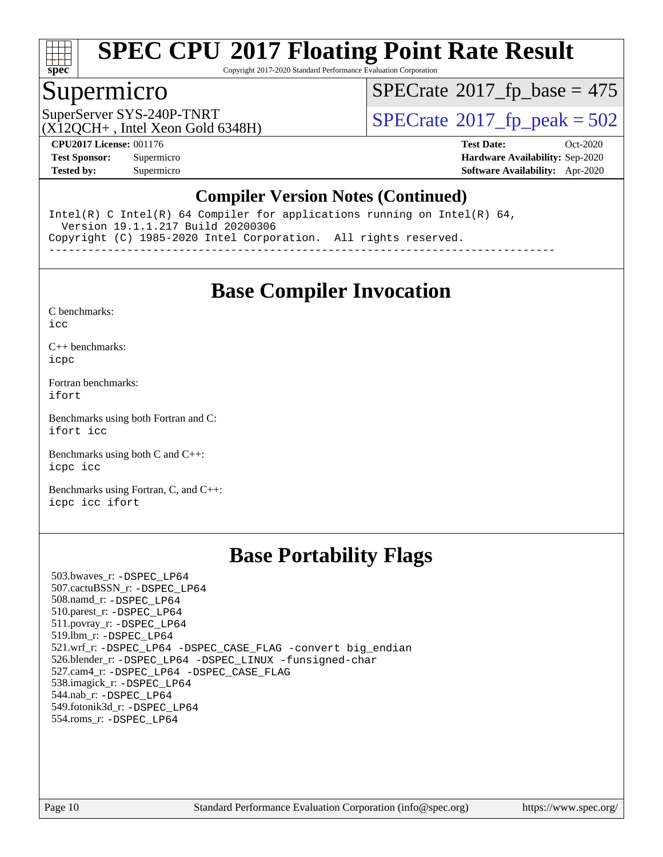

Copyright 2017-2020 Standard Performance Evaluation Corporation

### Supermicro

 $SPECrate$ <sup>®</sup>[2017\\_fp\\_base =](http://www.spec.org/auto/cpu2017/Docs/result-fields.html#SPECrate2017fpbase) 475

(X12QCH+ , Intel Xeon Gold 6348H)

SuperServer SYS-240P-TNRT  $SUS - 40P$ -TNRT  $SPECrate \degree 2017$  $SPECrate \degree 2017$   $fp$  peak = 502

**[CPU2017 License:](http://www.spec.org/auto/cpu2017/Docs/result-fields.html#CPU2017License)** 001176 **[Test Date:](http://www.spec.org/auto/cpu2017/Docs/result-fields.html#TestDate)** Oct-2020 **[Test Sponsor:](http://www.spec.org/auto/cpu2017/Docs/result-fields.html#TestSponsor)** Supermicro **[Hardware Availability:](http://www.spec.org/auto/cpu2017/Docs/result-fields.html#HardwareAvailability)** Sep-2020 **[Tested by:](http://www.spec.org/auto/cpu2017/Docs/result-fields.html#Testedby)** Supermicro **[Software Availability:](http://www.spec.org/auto/cpu2017/Docs/result-fields.html#SoftwareAvailability)** Apr-2020

#### **[Compiler Version Notes \(Continued\)](http://www.spec.org/auto/cpu2017/Docs/result-fields.html#CompilerVersionNotes)**

Intel(R) C Intel(R) 64 Compiler for applications running on Intel(R) 64, Version 19.1.1.217 Build 20200306 Copyright (C) 1985-2020 Intel Corporation. All rights reserved. ------------------------------------------------------------------------------

**[Base Compiler Invocation](http://www.spec.org/auto/cpu2017/Docs/result-fields.html#BaseCompilerInvocation)**

[C benchmarks](http://www.spec.org/auto/cpu2017/Docs/result-fields.html#Cbenchmarks):

[icc](http://www.spec.org/cpu2017/results/res2020q4/cpu2017-20201012-24184.flags.html#user_CCbase_intel_icc_66fc1ee009f7361af1fbd72ca7dcefbb700085f36577c54f309893dd4ec40d12360134090235512931783d35fd58c0460139e722d5067c5574d8eaf2b3e37e92)

[C++ benchmarks:](http://www.spec.org/auto/cpu2017/Docs/result-fields.html#CXXbenchmarks) [icpc](http://www.spec.org/cpu2017/results/res2020q4/cpu2017-20201012-24184.flags.html#user_CXXbase_intel_icpc_c510b6838c7f56d33e37e94d029a35b4a7bccf4766a728ee175e80a419847e808290a9b78be685c44ab727ea267ec2f070ec5dc83b407c0218cded6866a35d07)

[Fortran benchmarks](http://www.spec.org/auto/cpu2017/Docs/result-fields.html#Fortranbenchmarks): [ifort](http://www.spec.org/cpu2017/results/res2020q4/cpu2017-20201012-24184.flags.html#user_FCbase_intel_ifort_8111460550e3ca792625aed983ce982f94888b8b503583aa7ba2b8303487b4d8a21a13e7191a45c5fd58ff318f48f9492884d4413fa793fd88dd292cad7027ca)

[Benchmarks using both Fortran and C](http://www.spec.org/auto/cpu2017/Docs/result-fields.html#BenchmarksusingbothFortranandC): [ifort](http://www.spec.org/cpu2017/results/res2020q4/cpu2017-20201012-24184.flags.html#user_CC_FCbase_intel_ifort_8111460550e3ca792625aed983ce982f94888b8b503583aa7ba2b8303487b4d8a21a13e7191a45c5fd58ff318f48f9492884d4413fa793fd88dd292cad7027ca) [icc](http://www.spec.org/cpu2017/results/res2020q4/cpu2017-20201012-24184.flags.html#user_CC_FCbase_intel_icc_66fc1ee009f7361af1fbd72ca7dcefbb700085f36577c54f309893dd4ec40d12360134090235512931783d35fd58c0460139e722d5067c5574d8eaf2b3e37e92)

[Benchmarks using both C and C++](http://www.spec.org/auto/cpu2017/Docs/result-fields.html#BenchmarksusingbothCandCXX): [icpc](http://www.spec.org/cpu2017/results/res2020q4/cpu2017-20201012-24184.flags.html#user_CC_CXXbase_intel_icpc_c510b6838c7f56d33e37e94d029a35b4a7bccf4766a728ee175e80a419847e808290a9b78be685c44ab727ea267ec2f070ec5dc83b407c0218cded6866a35d07) [icc](http://www.spec.org/cpu2017/results/res2020q4/cpu2017-20201012-24184.flags.html#user_CC_CXXbase_intel_icc_66fc1ee009f7361af1fbd72ca7dcefbb700085f36577c54f309893dd4ec40d12360134090235512931783d35fd58c0460139e722d5067c5574d8eaf2b3e37e92)

[Benchmarks using Fortran, C, and C++:](http://www.spec.org/auto/cpu2017/Docs/result-fields.html#BenchmarksusingFortranCandCXX) [icpc](http://www.spec.org/cpu2017/results/res2020q4/cpu2017-20201012-24184.flags.html#user_CC_CXX_FCbase_intel_icpc_c510b6838c7f56d33e37e94d029a35b4a7bccf4766a728ee175e80a419847e808290a9b78be685c44ab727ea267ec2f070ec5dc83b407c0218cded6866a35d07) [icc](http://www.spec.org/cpu2017/results/res2020q4/cpu2017-20201012-24184.flags.html#user_CC_CXX_FCbase_intel_icc_66fc1ee009f7361af1fbd72ca7dcefbb700085f36577c54f309893dd4ec40d12360134090235512931783d35fd58c0460139e722d5067c5574d8eaf2b3e37e92) [ifort](http://www.spec.org/cpu2017/results/res2020q4/cpu2017-20201012-24184.flags.html#user_CC_CXX_FCbase_intel_ifort_8111460550e3ca792625aed983ce982f94888b8b503583aa7ba2b8303487b4d8a21a13e7191a45c5fd58ff318f48f9492884d4413fa793fd88dd292cad7027ca)

### **[Base Portability Flags](http://www.spec.org/auto/cpu2017/Docs/result-fields.html#BasePortabilityFlags)**

 503.bwaves\_r: [-DSPEC\\_LP64](http://www.spec.org/cpu2017/results/res2020q4/cpu2017-20201012-24184.flags.html#suite_basePORTABILITY503_bwaves_r_DSPEC_LP64) 507.cactuBSSN\_r: [-DSPEC\\_LP64](http://www.spec.org/cpu2017/results/res2020q4/cpu2017-20201012-24184.flags.html#suite_basePORTABILITY507_cactuBSSN_r_DSPEC_LP64) 508.namd\_r: [-DSPEC\\_LP64](http://www.spec.org/cpu2017/results/res2020q4/cpu2017-20201012-24184.flags.html#suite_basePORTABILITY508_namd_r_DSPEC_LP64) 510.parest\_r: [-DSPEC\\_LP64](http://www.spec.org/cpu2017/results/res2020q4/cpu2017-20201012-24184.flags.html#suite_basePORTABILITY510_parest_r_DSPEC_LP64) 511.povray\_r: [-DSPEC\\_LP64](http://www.spec.org/cpu2017/results/res2020q4/cpu2017-20201012-24184.flags.html#suite_basePORTABILITY511_povray_r_DSPEC_LP64) 519.lbm\_r: [-DSPEC\\_LP64](http://www.spec.org/cpu2017/results/res2020q4/cpu2017-20201012-24184.flags.html#suite_basePORTABILITY519_lbm_r_DSPEC_LP64) 521.wrf\_r: [-DSPEC\\_LP64](http://www.spec.org/cpu2017/results/res2020q4/cpu2017-20201012-24184.flags.html#suite_basePORTABILITY521_wrf_r_DSPEC_LP64) [-DSPEC\\_CASE\\_FLAG](http://www.spec.org/cpu2017/results/res2020q4/cpu2017-20201012-24184.flags.html#b521.wrf_r_baseCPORTABILITY_DSPEC_CASE_FLAG) [-convert big\\_endian](http://www.spec.org/cpu2017/results/res2020q4/cpu2017-20201012-24184.flags.html#user_baseFPORTABILITY521_wrf_r_convert_big_endian_c3194028bc08c63ac5d04de18c48ce6d347e4e562e8892b8bdbdc0214820426deb8554edfa529a3fb25a586e65a3d812c835984020483e7e73212c4d31a38223) 526.blender\_r: [-DSPEC\\_LP64](http://www.spec.org/cpu2017/results/res2020q4/cpu2017-20201012-24184.flags.html#suite_basePORTABILITY526_blender_r_DSPEC_LP64) [-DSPEC\\_LINUX](http://www.spec.org/cpu2017/results/res2020q4/cpu2017-20201012-24184.flags.html#b526.blender_r_baseCPORTABILITY_DSPEC_LINUX) [-funsigned-char](http://www.spec.org/cpu2017/results/res2020q4/cpu2017-20201012-24184.flags.html#user_baseCPORTABILITY526_blender_r_force_uchar_40c60f00ab013830e2dd6774aeded3ff59883ba5a1fc5fc14077f794d777847726e2a5858cbc7672e36e1b067e7e5c1d9a74f7176df07886a243d7cc18edfe67) 527.cam4\_r: [-DSPEC\\_LP64](http://www.spec.org/cpu2017/results/res2020q4/cpu2017-20201012-24184.flags.html#suite_basePORTABILITY527_cam4_r_DSPEC_LP64) [-DSPEC\\_CASE\\_FLAG](http://www.spec.org/cpu2017/results/res2020q4/cpu2017-20201012-24184.flags.html#b527.cam4_r_baseCPORTABILITY_DSPEC_CASE_FLAG) 538.imagick\_r: [-DSPEC\\_LP64](http://www.spec.org/cpu2017/results/res2020q4/cpu2017-20201012-24184.flags.html#suite_basePORTABILITY538_imagick_r_DSPEC_LP64) 544.nab\_r: [-DSPEC\\_LP64](http://www.spec.org/cpu2017/results/res2020q4/cpu2017-20201012-24184.flags.html#suite_basePORTABILITY544_nab_r_DSPEC_LP64) 549.fotonik3d\_r: [-DSPEC\\_LP64](http://www.spec.org/cpu2017/results/res2020q4/cpu2017-20201012-24184.flags.html#suite_basePORTABILITY549_fotonik3d_r_DSPEC_LP64) 554.roms\_r: [-DSPEC\\_LP64](http://www.spec.org/cpu2017/results/res2020q4/cpu2017-20201012-24184.flags.html#suite_basePORTABILITY554_roms_r_DSPEC_LP64)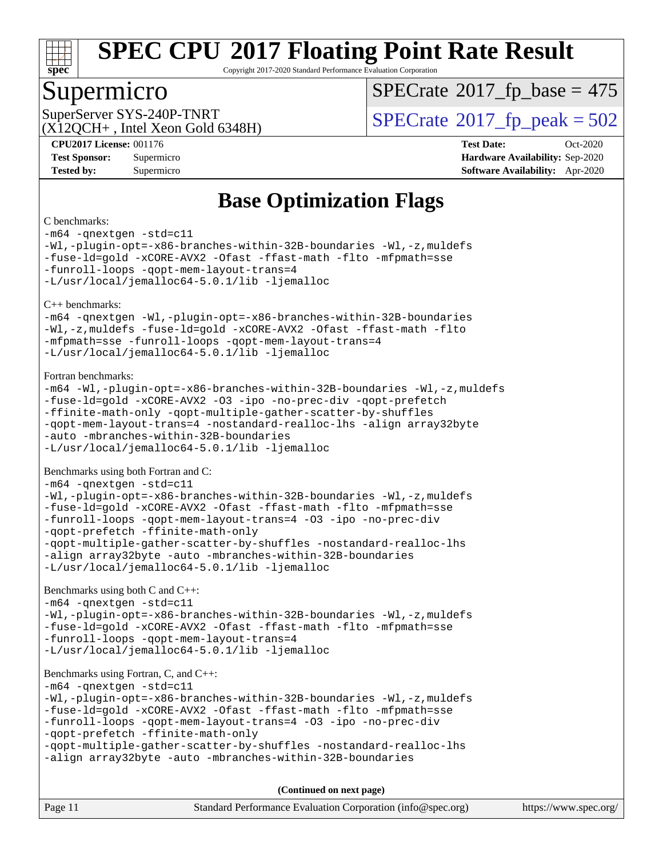

Copyright 2017-2020 Standard Performance Evaluation Corporation

### Supermicro

 $SPECTate$ <sup>®</sup>[2017\\_fp\\_base =](http://www.spec.org/auto/cpu2017/Docs/result-fields.html#SPECrate2017fpbase) 475

 $(X12OCH+$ , Intel Xeon Gold 6348H)

SuperServer SYS-240P-TNRT  $SUS - 40P$ -TNRT  $SPECrate \degree 2017$  $SPECrate \degree 2017$   $fp$  peak = 502

**[CPU2017 License:](http://www.spec.org/auto/cpu2017/Docs/result-fields.html#CPU2017License)** 001176 **[Test Date:](http://www.spec.org/auto/cpu2017/Docs/result-fields.html#TestDate)** Oct-2020 **[Test Sponsor:](http://www.spec.org/auto/cpu2017/Docs/result-fields.html#TestSponsor)** Supermicro **[Hardware Availability:](http://www.spec.org/auto/cpu2017/Docs/result-fields.html#HardwareAvailability)** Sep-2020 **[Tested by:](http://www.spec.org/auto/cpu2017/Docs/result-fields.html#Testedby)** Supermicro **[Software Availability:](http://www.spec.org/auto/cpu2017/Docs/result-fields.html#SoftwareAvailability)** Apr-2020

# **[Base Optimization Flags](http://www.spec.org/auto/cpu2017/Docs/result-fields.html#BaseOptimizationFlags)**

[C benchmarks:](http://www.spec.org/auto/cpu2017/Docs/result-fields.html#Cbenchmarks) [-m64](http://www.spec.org/cpu2017/results/res2020q4/cpu2017-20201012-24184.flags.html#user_CCbase_m64-icc) [-qnextgen](http://www.spec.org/cpu2017/results/res2020q4/cpu2017-20201012-24184.flags.html#user_CCbase_f-qnextgen) [-std=c11](http://www.spec.org/cpu2017/results/res2020q4/cpu2017-20201012-24184.flags.html#user_CCbase_std-icc-std_0e1c27790398a4642dfca32ffe6c27b5796f9c2d2676156f2e42c9c44eaad0c049b1cdb667a270c34d979996257aeb8fc440bfb01818dbc9357bd9d174cb8524) [-Wl,-plugin-opt=-x86-branches-within-32B-boundaries](http://www.spec.org/cpu2017/results/res2020q4/cpu2017-20201012-24184.flags.html#user_CCbase_f-x86-branches-within-32B-boundaries_0098b4e4317ae60947b7b728078a624952a08ac37a3c797dfb4ffeb399e0c61a9dd0f2f44ce917e9361fb9076ccb15e7824594512dd315205382d84209e912f3) [-Wl,-z,muldefs](http://www.spec.org/cpu2017/results/res2020q4/cpu2017-20201012-24184.flags.html#user_CCbase_link_force_multiple1_b4cbdb97b34bdee9ceefcfe54f4c8ea74255f0b02a4b23e853cdb0e18eb4525ac79b5a88067c842dd0ee6996c24547a27a4b99331201badda8798ef8a743f577) [-fuse-ld=gold](http://www.spec.org/cpu2017/results/res2020q4/cpu2017-20201012-24184.flags.html#user_CCbase_f-fuse-ld_920b3586e2b8c6e0748b9c84fa9b744736ba725a32cab14ad8f3d4ad28eecb2f59d1144823d2e17006539a88734fe1fc08fc3035f7676166309105a78aaabc32) [-xCORE-AVX2](http://www.spec.org/cpu2017/results/res2020q4/cpu2017-20201012-24184.flags.html#user_CCbase_f-xCORE-AVX2) [-Ofast](http://www.spec.org/cpu2017/results/res2020q4/cpu2017-20201012-24184.flags.html#user_CCbase_f-Ofast) [-ffast-math](http://www.spec.org/cpu2017/results/res2020q4/cpu2017-20201012-24184.flags.html#user_CCbase_f-ffast-math) [-flto](http://www.spec.org/cpu2017/results/res2020q4/cpu2017-20201012-24184.flags.html#user_CCbase_f-flto) [-mfpmath=sse](http://www.spec.org/cpu2017/results/res2020q4/cpu2017-20201012-24184.flags.html#user_CCbase_f-mfpmath_70eb8fac26bde974f8ab713bc9086c5621c0b8d2f6c86f38af0bd7062540daf19db5f3a066d8c6684be05d84c9b6322eb3b5be6619d967835195b93d6c02afa1) [-funroll-loops](http://www.spec.org/cpu2017/results/res2020q4/cpu2017-20201012-24184.flags.html#user_CCbase_f-funroll-loops) [-qopt-mem-layout-trans=4](http://www.spec.org/cpu2017/results/res2020q4/cpu2017-20201012-24184.flags.html#user_CCbase_f-qopt-mem-layout-trans_fa39e755916c150a61361b7846f310bcdf6f04e385ef281cadf3647acec3f0ae266d1a1d22d972a7087a248fd4e6ca390a3634700869573d231a252c784941a8) [-L/usr/local/jemalloc64-5.0.1/lib](http://www.spec.org/cpu2017/results/res2020q4/cpu2017-20201012-24184.flags.html#user_CCbase_jemalloc_link_path64_1_cc289568b1a6c0fd3b62c91b824c27fcb5af5e8098e6ad028160d21144ef1b8aef3170d2acf0bee98a8da324cfe4f67d0a3d0c4cc4673d993d694dc2a0df248b) [-ljemalloc](http://www.spec.org/cpu2017/results/res2020q4/cpu2017-20201012-24184.flags.html#user_CCbase_jemalloc_link_lib_d1249b907c500fa1c0672f44f562e3d0f79738ae9e3c4a9c376d49f265a04b9c99b167ecedbf6711b3085be911c67ff61f150a17b3472be731631ba4d0471706) [C++ benchmarks](http://www.spec.org/auto/cpu2017/Docs/result-fields.html#CXXbenchmarks): [-m64](http://www.spec.org/cpu2017/results/res2020q4/cpu2017-20201012-24184.flags.html#user_CXXbase_m64-icc) [-qnextgen](http://www.spec.org/cpu2017/results/res2020q4/cpu2017-20201012-24184.flags.html#user_CXXbase_f-qnextgen) [-Wl,-plugin-opt=-x86-branches-within-32B-boundaries](http://www.spec.org/cpu2017/results/res2020q4/cpu2017-20201012-24184.flags.html#user_CXXbase_f-x86-branches-within-32B-boundaries_0098b4e4317ae60947b7b728078a624952a08ac37a3c797dfb4ffeb399e0c61a9dd0f2f44ce917e9361fb9076ccb15e7824594512dd315205382d84209e912f3) [-Wl,-z,muldefs](http://www.spec.org/cpu2017/results/res2020q4/cpu2017-20201012-24184.flags.html#user_CXXbase_link_force_multiple1_b4cbdb97b34bdee9ceefcfe54f4c8ea74255f0b02a4b23e853cdb0e18eb4525ac79b5a88067c842dd0ee6996c24547a27a4b99331201badda8798ef8a743f577) [-fuse-ld=gold](http://www.spec.org/cpu2017/results/res2020q4/cpu2017-20201012-24184.flags.html#user_CXXbase_f-fuse-ld_920b3586e2b8c6e0748b9c84fa9b744736ba725a32cab14ad8f3d4ad28eecb2f59d1144823d2e17006539a88734fe1fc08fc3035f7676166309105a78aaabc32) [-xCORE-AVX2](http://www.spec.org/cpu2017/results/res2020q4/cpu2017-20201012-24184.flags.html#user_CXXbase_f-xCORE-AVX2) [-Ofast](http://www.spec.org/cpu2017/results/res2020q4/cpu2017-20201012-24184.flags.html#user_CXXbase_f-Ofast) [-ffast-math](http://www.spec.org/cpu2017/results/res2020q4/cpu2017-20201012-24184.flags.html#user_CXXbase_f-ffast-math) [-flto](http://www.spec.org/cpu2017/results/res2020q4/cpu2017-20201012-24184.flags.html#user_CXXbase_f-flto) [-mfpmath=sse](http://www.spec.org/cpu2017/results/res2020q4/cpu2017-20201012-24184.flags.html#user_CXXbase_f-mfpmath_70eb8fac26bde974f8ab713bc9086c5621c0b8d2f6c86f38af0bd7062540daf19db5f3a066d8c6684be05d84c9b6322eb3b5be6619d967835195b93d6c02afa1) [-funroll-loops](http://www.spec.org/cpu2017/results/res2020q4/cpu2017-20201012-24184.flags.html#user_CXXbase_f-funroll-loops) [-qopt-mem-layout-trans=4](http://www.spec.org/cpu2017/results/res2020q4/cpu2017-20201012-24184.flags.html#user_CXXbase_f-qopt-mem-layout-trans_fa39e755916c150a61361b7846f310bcdf6f04e385ef281cadf3647acec3f0ae266d1a1d22d972a7087a248fd4e6ca390a3634700869573d231a252c784941a8) [-L/usr/local/jemalloc64-5.0.1/lib](http://www.spec.org/cpu2017/results/res2020q4/cpu2017-20201012-24184.flags.html#user_CXXbase_jemalloc_link_path64_1_cc289568b1a6c0fd3b62c91b824c27fcb5af5e8098e6ad028160d21144ef1b8aef3170d2acf0bee98a8da324cfe4f67d0a3d0c4cc4673d993d694dc2a0df248b) [-ljemalloc](http://www.spec.org/cpu2017/results/res2020q4/cpu2017-20201012-24184.flags.html#user_CXXbase_jemalloc_link_lib_d1249b907c500fa1c0672f44f562e3d0f79738ae9e3c4a9c376d49f265a04b9c99b167ecedbf6711b3085be911c67ff61f150a17b3472be731631ba4d0471706) [Fortran benchmarks:](http://www.spec.org/auto/cpu2017/Docs/result-fields.html#Fortranbenchmarks) [-m64](http://www.spec.org/cpu2017/results/res2020q4/cpu2017-20201012-24184.flags.html#user_FCbase_m64-icc) [-Wl,-plugin-opt=-x86-branches-within-32B-boundaries](http://www.spec.org/cpu2017/results/res2020q4/cpu2017-20201012-24184.flags.html#user_FCbase_f-x86-branches-within-32B-boundaries_0098b4e4317ae60947b7b728078a624952a08ac37a3c797dfb4ffeb399e0c61a9dd0f2f44ce917e9361fb9076ccb15e7824594512dd315205382d84209e912f3) [-Wl,-z,muldefs](http://www.spec.org/cpu2017/results/res2020q4/cpu2017-20201012-24184.flags.html#user_FCbase_link_force_multiple1_b4cbdb97b34bdee9ceefcfe54f4c8ea74255f0b02a4b23e853cdb0e18eb4525ac79b5a88067c842dd0ee6996c24547a27a4b99331201badda8798ef8a743f577) [-fuse-ld=gold](http://www.spec.org/cpu2017/results/res2020q4/cpu2017-20201012-24184.flags.html#user_FCbase_f-fuse-ld_920b3586e2b8c6e0748b9c84fa9b744736ba725a32cab14ad8f3d4ad28eecb2f59d1144823d2e17006539a88734fe1fc08fc3035f7676166309105a78aaabc32) [-xCORE-AVX2](http://www.spec.org/cpu2017/results/res2020q4/cpu2017-20201012-24184.flags.html#user_FCbase_f-xCORE-AVX2) [-O3](http://www.spec.org/cpu2017/results/res2020q4/cpu2017-20201012-24184.flags.html#user_FCbase_f-O3) [-ipo](http://www.spec.org/cpu2017/results/res2020q4/cpu2017-20201012-24184.flags.html#user_FCbase_f-ipo) [-no-prec-div](http://www.spec.org/cpu2017/results/res2020q4/cpu2017-20201012-24184.flags.html#user_FCbase_f-no-prec-div) [-qopt-prefetch](http://www.spec.org/cpu2017/results/res2020q4/cpu2017-20201012-24184.flags.html#user_FCbase_f-qopt-prefetch) [-ffinite-math-only](http://www.spec.org/cpu2017/results/res2020q4/cpu2017-20201012-24184.flags.html#user_FCbase_f_finite_math_only_cb91587bd2077682c4b38af759c288ed7c732db004271a9512da14a4f8007909a5f1427ecbf1a0fb78ff2a814402c6114ac565ca162485bbcae155b5e4258871) [-qopt-multiple-gather-scatter-by-shuffles](http://www.spec.org/cpu2017/results/res2020q4/cpu2017-20201012-24184.flags.html#user_FCbase_f-qopt-multiple-gather-scatter-by-shuffles) [-qopt-mem-layout-trans=4](http://www.spec.org/cpu2017/results/res2020q4/cpu2017-20201012-24184.flags.html#user_FCbase_f-qopt-mem-layout-trans_fa39e755916c150a61361b7846f310bcdf6f04e385ef281cadf3647acec3f0ae266d1a1d22d972a7087a248fd4e6ca390a3634700869573d231a252c784941a8) [-nostandard-realloc-lhs](http://www.spec.org/cpu2017/results/res2020q4/cpu2017-20201012-24184.flags.html#user_FCbase_f_2003_std_realloc_82b4557e90729c0f113870c07e44d33d6f5a304b4f63d4c15d2d0f1fab99f5daaed73bdb9275d9ae411527f28b936061aa8b9c8f2d63842963b95c9dd6426b8a) [-align array32byte](http://www.spec.org/cpu2017/results/res2020q4/cpu2017-20201012-24184.flags.html#user_FCbase_align_array32byte_b982fe038af199962ba9a80c053b8342c548c85b40b8e86eb3cc33dee0d7986a4af373ac2d51c3f7cf710a18d62fdce2948f201cd044323541f22fc0fffc51b6) [-auto](http://www.spec.org/cpu2017/results/res2020q4/cpu2017-20201012-24184.flags.html#user_FCbase_f-auto) [-mbranches-within-32B-boundaries](http://www.spec.org/cpu2017/results/res2020q4/cpu2017-20201012-24184.flags.html#user_FCbase_f-mbranches-within-32B-boundaries) [-L/usr/local/jemalloc64-5.0.1/lib](http://www.spec.org/cpu2017/results/res2020q4/cpu2017-20201012-24184.flags.html#user_FCbase_jemalloc_link_path64_1_cc289568b1a6c0fd3b62c91b824c27fcb5af5e8098e6ad028160d21144ef1b8aef3170d2acf0bee98a8da324cfe4f67d0a3d0c4cc4673d993d694dc2a0df248b) [-ljemalloc](http://www.spec.org/cpu2017/results/res2020q4/cpu2017-20201012-24184.flags.html#user_FCbase_jemalloc_link_lib_d1249b907c500fa1c0672f44f562e3d0f79738ae9e3c4a9c376d49f265a04b9c99b167ecedbf6711b3085be911c67ff61f150a17b3472be731631ba4d0471706) [Benchmarks using both Fortran and C:](http://www.spec.org/auto/cpu2017/Docs/result-fields.html#BenchmarksusingbothFortranandC) [-m64](http://www.spec.org/cpu2017/results/res2020q4/cpu2017-20201012-24184.flags.html#user_CC_FCbase_m64-icc) [-qnextgen](http://www.spec.org/cpu2017/results/res2020q4/cpu2017-20201012-24184.flags.html#user_CC_FCbase_f-qnextgen) [-std=c11](http://www.spec.org/cpu2017/results/res2020q4/cpu2017-20201012-24184.flags.html#user_CC_FCbase_std-icc-std_0e1c27790398a4642dfca32ffe6c27b5796f9c2d2676156f2e42c9c44eaad0c049b1cdb667a270c34d979996257aeb8fc440bfb01818dbc9357bd9d174cb8524) [-Wl,-plugin-opt=-x86-branches-within-32B-boundaries](http://www.spec.org/cpu2017/results/res2020q4/cpu2017-20201012-24184.flags.html#user_CC_FCbase_f-x86-branches-within-32B-boundaries_0098b4e4317ae60947b7b728078a624952a08ac37a3c797dfb4ffeb399e0c61a9dd0f2f44ce917e9361fb9076ccb15e7824594512dd315205382d84209e912f3) [-Wl,-z,muldefs](http://www.spec.org/cpu2017/results/res2020q4/cpu2017-20201012-24184.flags.html#user_CC_FCbase_link_force_multiple1_b4cbdb97b34bdee9ceefcfe54f4c8ea74255f0b02a4b23e853cdb0e18eb4525ac79b5a88067c842dd0ee6996c24547a27a4b99331201badda8798ef8a743f577) [-fuse-ld=gold](http://www.spec.org/cpu2017/results/res2020q4/cpu2017-20201012-24184.flags.html#user_CC_FCbase_f-fuse-ld_920b3586e2b8c6e0748b9c84fa9b744736ba725a32cab14ad8f3d4ad28eecb2f59d1144823d2e17006539a88734fe1fc08fc3035f7676166309105a78aaabc32) [-xCORE-AVX2](http://www.spec.org/cpu2017/results/res2020q4/cpu2017-20201012-24184.flags.html#user_CC_FCbase_f-xCORE-AVX2) [-Ofast](http://www.spec.org/cpu2017/results/res2020q4/cpu2017-20201012-24184.flags.html#user_CC_FCbase_f-Ofast) [-ffast-math](http://www.spec.org/cpu2017/results/res2020q4/cpu2017-20201012-24184.flags.html#user_CC_FCbase_f-ffast-math) [-flto](http://www.spec.org/cpu2017/results/res2020q4/cpu2017-20201012-24184.flags.html#user_CC_FCbase_f-flto) [-mfpmath=sse](http://www.spec.org/cpu2017/results/res2020q4/cpu2017-20201012-24184.flags.html#user_CC_FCbase_f-mfpmath_70eb8fac26bde974f8ab713bc9086c5621c0b8d2f6c86f38af0bd7062540daf19db5f3a066d8c6684be05d84c9b6322eb3b5be6619d967835195b93d6c02afa1) [-funroll-loops](http://www.spec.org/cpu2017/results/res2020q4/cpu2017-20201012-24184.flags.html#user_CC_FCbase_f-funroll-loops) [-qopt-mem-layout-trans=4](http://www.spec.org/cpu2017/results/res2020q4/cpu2017-20201012-24184.flags.html#user_CC_FCbase_f-qopt-mem-layout-trans_fa39e755916c150a61361b7846f310bcdf6f04e385ef281cadf3647acec3f0ae266d1a1d22d972a7087a248fd4e6ca390a3634700869573d231a252c784941a8) [-O3](http://www.spec.org/cpu2017/results/res2020q4/cpu2017-20201012-24184.flags.html#user_CC_FCbase_f-O3) [-ipo](http://www.spec.org/cpu2017/results/res2020q4/cpu2017-20201012-24184.flags.html#user_CC_FCbase_f-ipo) [-no-prec-div](http://www.spec.org/cpu2017/results/res2020q4/cpu2017-20201012-24184.flags.html#user_CC_FCbase_f-no-prec-div) [-qopt-prefetch](http://www.spec.org/cpu2017/results/res2020q4/cpu2017-20201012-24184.flags.html#user_CC_FCbase_f-qopt-prefetch) [-ffinite-math-only](http://www.spec.org/cpu2017/results/res2020q4/cpu2017-20201012-24184.flags.html#user_CC_FCbase_f_finite_math_only_cb91587bd2077682c4b38af759c288ed7c732db004271a9512da14a4f8007909a5f1427ecbf1a0fb78ff2a814402c6114ac565ca162485bbcae155b5e4258871) [-qopt-multiple-gather-scatter-by-shuffles](http://www.spec.org/cpu2017/results/res2020q4/cpu2017-20201012-24184.flags.html#user_CC_FCbase_f-qopt-multiple-gather-scatter-by-shuffles) [-nostandard-realloc-lhs](http://www.spec.org/cpu2017/results/res2020q4/cpu2017-20201012-24184.flags.html#user_CC_FCbase_f_2003_std_realloc_82b4557e90729c0f113870c07e44d33d6f5a304b4f63d4c15d2d0f1fab99f5daaed73bdb9275d9ae411527f28b936061aa8b9c8f2d63842963b95c9dd6426b8a) [-align array32byte](http://www.spec.org/cpu2017/results/res2020q4/cpu2017-20201012-24184.flags.html#user_CC_FCbase_align_array32byte_b982fe038af199962ba9a80c053b8342c548c85b40b8e86eb3cc33dee0d7986a4af373ac2d51c3f7cf710a18d62fdce2948f201cd044323541f22fc0fffc51b6) [-auto](http://www.spec.org/cpu2017/results/res2020q4/cpu2017-20201012-24184.flags.html#user_CC_FCbase_f-auto) [-mbranches-within-32B-boundaries](http://www.spec.org/cpu2017/results/res2020q4/cpu2017-20201012-24184.flags.html#user_CC_FCbase_f-mbranches-within-32B-boundaries) [-L/usr/local/jemalloc64-5.0.1/lib](http://www.spec.org/cpu2017/results/res2020q4/cpu2017-20201012-24184.flags.html#user_CC_FCbase_jemalloc_link_path64_1_cc289568b1a6c0fd3b62c91b824c27fcb5af5e8098e6ad028160d21144ef1b8aef3170d2acf0bee98a8da324cfe4f67d0a3d0c4cc4673d993d694dc2a0df248b) [-ljemalloc](http://www.spec.org/cpu2017/results/res2020q4/cpu2017-20201012-24184.flags.html#user_CC_FCbase_jemalloc_link_lib_d1249b907c500fa1c0672f44f562e3d0f79738ae9e3c4a9c376d49f265a04b9c99b167ecedbf6711b3085be911c67ff61f150a17b3472be731631ba4d0471706) [Benchmarks using both C and C++](http://www.spec.org/auto/cpu2017/Docs/result-fields.html#BenchmarksusingbothCandCXX): [-m64](http://www.spec.org/cpu2017/results/res2020q4/cpu2017-20201012-24184.flags.html#user_CC_CXXbase_m64-icc) [-qnextgen](http://www.spec.org/cpu2017/results/res2020q4/cpu2017-20201012-24184.flags.html#user_CC_CXXbase_f-qnextgen) [-std=c11](http://www.spec.org/cpu2017/results/res2020q4/cpu2017-20201012-24184.flags.html#user_CC_CXXbase_std-icc-std_0e1c27790398a4642dfca32ffe6c27b5796f9c2d2676156f2e42c9c44eaad0c049b1cdb667a270c34d979996257aeb8fc440bfb01818dbc9357bd9d174cb8524) [-Wl,-plugin-opt=-x86-branches-within-32B-boundaries](http://www.spec.org/cpu2017/results/res2020q4/cpu2017-20201012-24184.flags.html#user_CC_CXXbase_f-x86-branches-within-32B-boundaries_0098b4e4317ae60947b7b728078a624952a08ac37a3c797dfb4ffeb399e0c61a9dd0f2f44ce917e9361fb9076ccb15e7824594512dd315205382d84209e912f3) [-Wl,-z,muldefs](http://www.spec.org/cpu2017/results/res2020q4/cpu2017-20201012-24184.flags.html#user_CC_CXXbase_link_force_multiple1_b4cbdb97b34bdee9ceefcfe54f4c8ea74255f0b02a4b23e853cdb0e18eb4525ac79b5a88067c842dd0ee6996c24547a27a4b99331201badda8798ef8a743f577) [-fuse-ld=gold](http://www.spec.org/cpu2017/results/res2020q4/cpu2017-20201012-24184.flags.html#user_CC_CXXbase_f-fuse-ld_920b3586e2b8c6e0748b9c84fa9b744736ba725a32cab14ad8f3d4ad28eecb2f59d1144823d2e17006539a88734fe1fc08fc3035f7676166309105a78aaabc32) [-xCORE-AVX2](http://www.spec.org/cpu2017/results/res2020q4/cpu2017-20201012-24184.flags.html#user_CC_CXXbase_f-xCORE-AVX2) [-Ofast](http://www.spec.org/cpu2017/results/res2020q4/cpu2017-20201012-24184.flags.html#user_CC_CXXbase_f-Ofast) [-ffast-math](http://www.spec.org/cpu2017/results/res2020q4/cpu2017-20201012-24184.flags.html#user_CC_CXXbase_f-ffast-math) [-flto](http://www.spec.org/cpu2017/results/res2020q4/cpu2017-20201012-24184.flags.html#user_CC_CXXbase_f-flto) [-mfpmath=sse](http://www.spec.org/cpu2017/results/res2020q4/cpu2017-20201012-24184.flags.html#user_CC_CXXbase_f-mfpmath_70eb8fac26bde974f8ab713bc9086c5621c0b8d2f6c86f38af0bd7062540daf19db5f3a066d8c6684be05d84c9b6322eb3b5be6619d967835195b93d6c02afa1) [-funroll-loops](http://www.spec.org/cpu2017/results/res2020q4/cpu2017-20201012-24184.flags.html#user_CC_CXXbase_f-funroll-loops) [-qopt-mem-layout-trans=4](http://www.spec.org/cpu2017/results/res2020q4/cpu2017-20201012-24184.flags.html#user_CC_CXXbase_f-qopt-mem-layout-trans_fa39e755916c150a61361b7846f310bcdf6f04e385ef281cadf3647acec3f0ae266d1a1d22d972a7087a248fd4e6ca390a3634700869573d231a252c784941a8) [-L/usr/local/jemalloc64-5.0.1/lib](http://www.spec.org/cpu2017/results/res2020q4/cpu2017-20201012-24184.flags.html#user_CC_CXXbase_jemalloc_link_path64_1_cc289568b1a6c0fd3b62c91b824c27fcb5af5e8098e6ad028160d21144ef1b8aef3170d2acf0bee98a8da324cfe4f67d0a3d0c4cc4673d993d694dc2a0df248b) [-ljemalloc](http://www.spec.org/cpu2017/results/res2020q4/cpu2017-20201012-24184.flags.html#user_CC_CXXbase_jemalloc_link_lib_d1249b907c500fa1c0672f44f562e3d0f79738ae9e3c4a9c376d49f265a04b9c99b167ecedbf6711b3085be911c67ff61f150a17b3472be731631ba4d0471706) [Benchmarks using Fortran, C, and C++](http://www.spec.org/auto/cpu2017/Docs/result-fields.html#BenchmarksusingFortranCandCXX): [-m64](http://www.spec.org/cpu2017/results/res2020q4/cpu2017-20201012-24184.flags.html#user_CC_CXX_FCbase_m64-icc) [-qnextgen](http://www.spec.org/cpu2017/results/res2020q4/cpu2017-20201012-24184.flags.html#user_CC_CXX_FCbase_f-qnextgen) [-std=c11](http://www.spec.org/cpu2017/results/res2020q4/cpu2017-20201012-24184.flags.html#user_CC_CXX_FCbase_std-icc-std_0e1c27790398a4642dfca32ffe6c27b5796f9c2d2676156f2e42c9c44eaad0c049b1cdb667a270c34d979996257aeb8fc440bfb01818dbc9357bd9d174cb8524) [-Wl,-plugin-opt=-x86-branches-within-32B-boundaries](http://www.spec.org/cpu2017/results/res2020q4/cpu2017-20201012-24184.flags.html#user_CC_CXX_FCbase_f-x86-branches-within-32B-boundaries_0098b4e4317ae60947b7b728078a624952a08ac37a3c797dfb4ffeb399e0c61a9dd0f2f44ce917e9361fb9076ccb15e7824594512dd315205382d84209e912f3) [-Wl,-z,muldefs](http://www.spec.org/cpu2017/results/res2020q4/cpu2017-20201012-24184.flags.html#user_CC_CXX_FCbase_link_force_multiple1_b4cbdb97b34bdee9ceefcfe54f4c8ea74255f0b02a4b23e853cdb0e18eb4525ac79b5a88067c842dd0ee6996c24547a27a4b99331201badda8798ef8a743f577) [-fuse-ld=gold](http://www.spec.org/cpu2017/results/res2020q4/cpu2017-20201012-24184.flags.html#user_CC_CXX_FCbase_f-fuse-ld_920b3586e2b8c6e0748b9c84fa9b744736ba725a32cab14ad8f3d4ad28eecb2f59d1144823d2e17006539a88734fe1fc08fc3035f7676166309105a78aaabc32) [-xCORE-AVX2](http://www.spec.org/cpu2017/results/res2020q4/cpu2017-20201012-24184.flags.html#user_CC_CXX_FCbase_f-xCORE-AVX2) [-Ofast](http://www.spec.org/cpu2017/results/res2020q4/cpu2017-20201012-24184.flags.html#user_CC_CXX_FCbase_f-Ofast) [-ffast-math](http://www.spec.org/cpu2017/results/res2020q4/cpu2017-20201012-24184.flags.html#user_CC_CXX_FCbase_f-ffast-math) [-flto](http://www.spec.org/cpu2017/results/res2020q4/cpu2017-20201012-24184.flags.html#user_CC_CXX_FCbase_f-flto) [-mfpmath=sse](http://www.spec.org/cpu2017/results/res2020q4/cpu2017-20201012-24184.flags.html#user_CC_CXX_FCbase_f-mfpmath_70eb8fac26bde974f8ab713bc9086c5621c0b8d2f6c86f38af0bd7062540daf19db5f3a066d8c6684be05d84c9b6322eb3b5be6619d967835195b93d6c02afa1) [-funroll-loops](http://www.spec.org/cpu2017/results/res2020q4/cpu2017-20201012-24184.flags.html#user_CC_CXX_FCbase_f-funroll-loops) [-qopt-mem-layout-trans=4](http://www.spec.org/cpu2017/results/res2020q4/cpu2017-20201012-24184.flags.html#user_CC_CXX_FCbase_f-qopt-mem-layout-trans_fa39e755916c150a61361b7846f310bcdf6f04e385ef281cadf3647acec3f0ae266d1a1d22d972a7087a248fd4e6ca390a3634700869573d231a252c784941a8) [-O3](http://www.spec.org/cpu2017/results/res2020q4/cpu2017-20201012-24184.flags.html#user_CC_CXX_FCbase_f-O3) [-ipo](http://www.spec.org/cpu2017/results/res2020q4/cpu2017-20201012-24184.flags.html#user_CC_CXX_FCbase_f-ipo) [-no-prec-div](http://www.spec.org/cpu2017/results/res2020q4/cpu2017-20201012-24184.flags.html#user_CC_CXX_FCbase_f-no-prec-div) [-qopt-prefetch](http://www.spec.org/cpu2017/results/res2020q4/cpu2017-20201012-24184.flags.html#user_CC_CXX_FCbase_f-qopt-prefetch) [-ffinite-math-only](http://www.spec.org/cpu2017/results/res2020q4/cpu2017-20201012-24184.flags.html#user_CC_CXX_FCbase_f_finite_math_only_cb91587bd2077682c4b38af759c288ed7c732db004271a9512da14a4f8007909a5f1427ecbf1a0fb78ff2a814402c6114ac565ca162485bbcae155b5e4258871) [-qopt-multiple-gather-scatter-by-shuffles](http://www.spec.org/cpu2017/results/res2020q4/cpu2017-20201012-24184.flags.html#user_CC_CXX_FCbase_f-qopt-multiple-gather-scatter-by-shuffles) [-nostandard-realloc-lhs](http://www.spec.org/cpu2017/results/res2020q4/cpu2017-20201012-24184.flags.html#user_CC_CXX_FCbase_f_2003_std_realloc_82b4557e90729c0f113870c07e44d33d6f5a304b4f63d4c15d2d0f1fab99f5daaed73bdb9275d9ae411527f28b936061aa8b9c8f2d63842963b95c9dd6426b8a) [-align array32byte](http://www.spec.org/cpu2017/results/res2020q4/cpu2017-20201012-24184.flags.html#user_CC_CXX_FCbase_align_array32byte_b982fe038af199962ba9a80c053b8342c548c85b40b8e86eb3cc33dee0d7986a4af373ac2d51c3f7cf710a18d62fdce2948f201cd044323541f22fc0fffc51b6) [-auto](http://www.spec.org/cpu2017/results/res2020q4/cpu2017-20201012-24184.flags.html#user_CC_CXX_FCbase_f-auto) [-mbranches-within-32B-boundaries](http://www.spec.org/cpu2017/results/res2020q4/cpu2017-20201012-24184.flags.html#user_CC_CXX_FCbase_f-mbranches-within-32B-boundaries)

**(Continued on next page)**

| Page 11 | Standard Performance Evaluation Corporation (info@spec.org) | https://www.spec.org/ |
|---------|-------------------------------------------------------------|-----------------------|
|---------|-------------------------------------------------------------|-----------------------|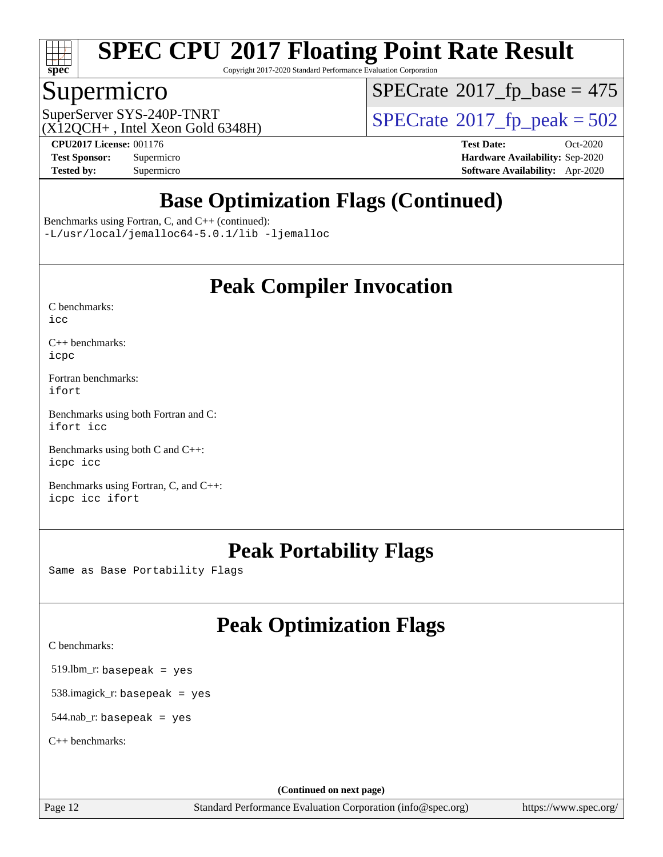

Copyright 2017-2020 Standard Performance Evaluation Corporation

## Supermicro

 $SPECTate$ <sup>®</sup>[2017\\_fp\\_base =](http://www.spec.org/auto/cpu2017/Docs/result-fields.html#SPECrate2017fpbase) 475

 $(X12OCH+$ , Intel Xeon Gold 6348H)

SuperServer SYS-240P-TNRT<br>(X12OCH+ Intel Xeon Gold 6348H)  $\text{SPECrate}$  $\text{SPECrate}$  $\text{SPECrate}$ <sup>®</sup>[2017\\_fp\\_peak = 5](http://www.spec.org/auto/cpu2017/Docs/result-fields.html#SPECrate2017fppeak)02

**[Tested by:](http://www.spec.org/auto/cpu2017/Docs/result-fields.html#Testedby)** Supermicro **[Software Availability:](http://www.spec.org/auto/cpu2017/Docs/result-fields.html#SoftwareAvailability)** Apr-2020

**[CPU2017 License:](http://www.spec.org/auto/cpu2017/Docs/result-fields.html#CPU2017License)** 001176 **[Test Date:](http://www.spec.org/auto/cpu2017/Docs/result-fields.html#TestDate)** Oct-2020 **[Test Sponsor:](http://www.spec.org/auto/cpu2017/Docs/result-fields.html#TestSponsor)** Supermicro **[Hardware Availability:](http://www.spec.org/auto/cpu2017/Docs/result-fields.html#HardwareAvailability)** Sep-2020

# **[Base Optimization Flags \(Continued\)](http://www.spec.org/auto/cpu2017/Docs/result-fields.html#BaseOptimizationFlags)**

[Benchmarks using Fortran, C, and C++](http://www.spec.org/auto/cpu2017/Docs/result-fields.html#BenchmarksusingFortranCandCXX) (continued):

[-L/usr/local/jemalloc64-5.0.1/lib](http://www.spec.org/cpu2017/results/res2020q4/cpu2017-20201012-24184.flags.html#user_CC_CXX_FCbase_jemalloc_link_path64_1_cc289568b1a6c0fd3b62c91b824c27fcb5af5e8098e6ad028160d21144ef1b8aef3170d2acf0bee98a8da324cfe4f67d0a3d0c4cc4673d993d694dc2a0df248b) [-ljemalloc](http://www.spec.org/cpu2017/results/res2020q4/cpu2017-20201012-24184.flags.html#user_CC_CXX_FCbase_jemalloc_link_lib_d1249b907c500fa1c0672f44f562e3d0f79738ae9e3c4a9c376d49f265a04b9c99b167ecedbf6711b3085be911c67ff61f150a17b3472be731631ba4d0471706)

## **[Peak Compiler Invocation](http://www.spec.org/auto/cpu2017/Docs/result-fields.html#PeakCompilerInvocation)**

| C benchmarks: |  |
|---------------|--|
| icc           |  |

[C++ benchmarks:](http://www.spec.org/auto/cpu2017/Docs/result-fields.html#CXXbenchmarks) [icpc](http://www.spec.org/cpu2017/results/res2020q4/cpu2017-20201012-24184.flags.html#user_CXXpeak_intel_icpc_c510b6838c7f56d33e37e94d029a35b4a7bccf4766a728ee175e80a419847e808290a9b78be685c44ab727ea267ec2f070ec5dc83b407c0218cded6866a35d07)

[Fortran benchmarks](http://www.spec.org/auto/cpu2017/Docs/result-fields.html#Fortranbenchmarks): [ifort](http://www.spec.org/cpu2017/results/res2020q4/cpu2017-20201012-24184.flags.html#user_FCpeak_intel_ifort_8111460550e3ca792625aed983ce982f94888b8b503583aa7ba2b8303487b4d8a21a13e7191a45c5fd58ff318f48f9492884d4413fa793fd88dd292cad7027ca)

[Benchmarks using both Fortran and C](http://www.spec.org/auto/cpu2017/Docs/result-fields.html#BenchmarksusingbothFortranandC): [ifort](http://www.spec.org/cpu2017/results/res2020q4/cpu2017-20201012-24184.flags.html#user_CC_FCpeak_intel_ifort_8111460550e3ca792625aed983ce982f94888b8b503583aa7ba2b8303487b4d8a21a13e7191a45c5fd58ff318f48f9492884d4413fa793fd88dd292cad7027ca) [icc](http://www.spec.org/cpu2017/results/res2020q4/cpu2017-20201012-24184.flags.html#user_CC_FCpeak_intel_icc_66fc1ee009f7361af1fbd72ca7dcefbb700085f36577c54f309893dd4ec40d12360134090235512931783d35fd58c0460139e722d5067c5574d8eaf2b3e37e92)

[Benchmarks using both C and C++](http://www.spec.org/auto/cpu2017/Docs/result-fields.html#BenchmarksusingbothCandCXX): [icpc](http://www.spec.org/cpu2017/results/res2020q4/cpu2017-20201012-24184.flags.html#user_CC_CXXpeak_intel_icpc_c510b6838c7f56d33e37e94d029a35b4a7bccf4766a728ee175e80a419847e808290a9b78be685c44ab727ea267ec2f070ec5dc83b407c0218cded6866a35d07) [icc](http://www.spec.org/cpu2017/results/res2020q4/cpu2017-20201012-24184.flags.html#user_CC_CXXpeak_intel_icc_66fc1ee009f7361af1fbd72ca7dcefbb700085f36577c54f309893dd4ec40d12360134090235512931783d35fd58c0460139e722d5067c5574d8eaf2b3e37e92)

[Benchmarks using Fortran, C, and C++:](http://www.spec.org/auto/cpu2017/Docs/result-fields.html#BenchmarksusingFortranCandCXX) [icpc](http://www.spec.org/cpu2017/results/res2020q4/cpu2017-20201012-24184.flags.html#user_CC_CXX_FCpeak_intel_icpc_c510b6838c7f56d33e37e94d029a35b4a7bccf4766a728ee175e80a419847e808290a9b78be685c44ab727ea267ec2f070ec5dc83b407c0218cded6866a35d07) [icc](http://www.spec.org/cpu2017/results/res2020q4/cpu2017-20201012-24184.flags.html#user_CC_CXX_FCpeak_intel_icc_66fc1ee009f7361af1fbd72ca7dcefbb700085f36577c54f309893dd4ec40d12360134090235512931783d35fd58c0460139e722d5067c5574d8eaf2b3e37e92) [ifort](http://www.spec.org/cpu2017/results/res2020q4/cpu2017-20201012-24184.flags.html#user_CC_CXX_FCpeak_intel_ifort_8111460550e3ca792625aed983ce982f94888b8b503583aa7ba2b8303487b4d8a21a13e7191a45c5fd58ff318f48f9492884d4413fa793fd88dd292cad7027ca)

# **[Peak Portability Flags](http://www.spec.org/auto/cpu2017/Docs/result-fields.html#PeakPortabilityFlags)**

Same as Base Portability Flags

# **[Peak Optimization Flags](http://www.spec.org/auto/cpu2017/Docs/result-fields.html#PeakOptimizationFlags)**

[C benchmarks](http://www.spec.org/auto/cpu2017/Docs/result-fields.html#Cbenchmarks):

519.lbm\_r: basepeak = yes

538.imagick\_r: basepeak = yes

 $544$ .nab\_r: basepeak = yes

[C++ benchmarks:](http://www.spec.org/auto/cpu2017/Docs/result-fields.html#CXXbenchmarks)

**(Continued on next page)**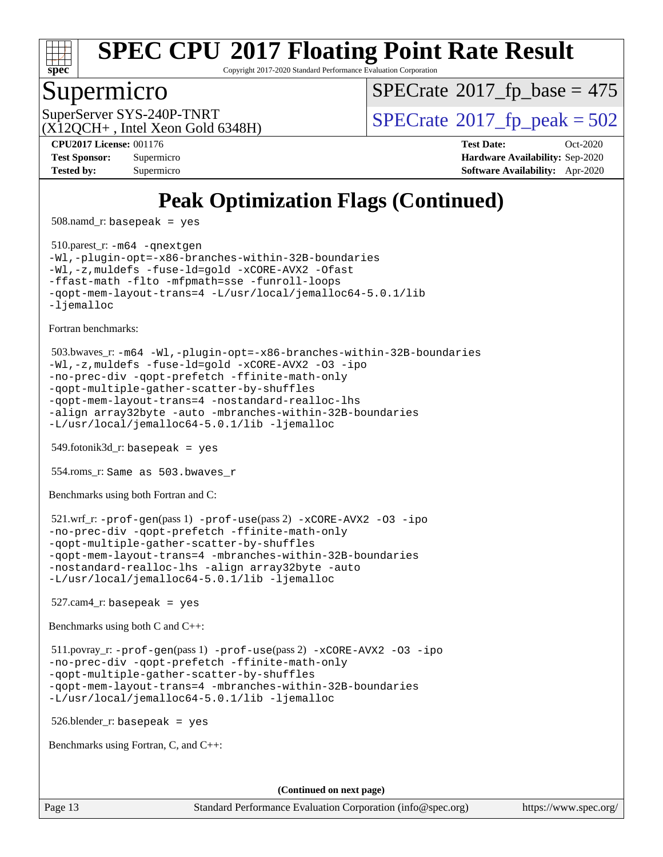

Copyright 2017-2020 Standard Performance Evaluation Corporation

### Supermicro

 $SPECTate$ <sup>®</sup>[2017\\_fp\\_base =](http://www.spec.org/auto/cpu2017/Docs/result-fields.html#SPECrate2017fpbase) 475

 $(X12OCH+$ , Intel Xeon Gold 6348H)

SuperServer SYS-240P-TNRT  $\begin{array}{c|c}\n\text{SuperServer SYS-240P-TNRT} & & \text{SPECrate} \n\hline\n\text{SPECrate} \n\end{array}$  $\begin{array}{c|c}\n\text{SuperServer SYS-240P-TNRT} & & \text{SPECrate} \n\hline\n\text{SPECrate} \n\end{array}$  $\begin{array}{c|c}\n\text{SuperServer SYS-240P-TNRT} & & \text{SPECrate} \n\hline\n\text{SPECrate} \n\end{array}$ 

**[Tested by:](http://www.spec.org/auto/cpu2017/Docs/result-fields.html#Testedby)** Supermicro **[Software Availability:](http://www.spec.org/auto/cpu2017/Docs/result-fields.html#SoftwareAvailability)** Apr-2020

**[CPU2017 License:](http://www.spec.org/auto/cpu2017/Docs/result-fields.html#CPU2017License)** 001176 **[Test Date:](http://www.spec.org/auto/cpu2017/Docs/result-fields.html#TestDate)** Oct-2020 **[Test Sponsor:](http://www.spec.org/auto/cpu2017/Docs/result-fields.html#TestSponsor)** Supermicro **[Hardware Availability:](http://www.spec.org/auto/cpu2017/Docs/result-fields.html#HardwareAvailability)** Sep-2020

# **[Peak Optimization Flags \(Continued\)](http://www.spec.org/auto/cpu2017/Docs/result-fields.html#PeakOptimizationFlags)**

508.namd\_r: basepeak = yes

 510.parest\_r: [-m64](http://www.spec.org/cpu2017/results/res2020q4/cpu2017-20201012-24184.flags.html#user_peakCXXLD510_parest_r_m64-icc) [-qnextgen](http://www.spec.org/cpu2017/results/res2020q4/cpu2017-20201012-24184.flags.html#user_peakCXXLD510_parest_r_f-qnextgen) [-Wl,-plugin-opt=-x86-branches-within-32B-boundaries](http://www.spec.org/cpu2017/results/res2020q4/cpu2017-20201012-24184.flags.html#user_peakLDFLAGS510_parest_r_f-x86-branches-within-32B-boundaries_0098b4e4317ae60947b7b728078a624952a08ac37a3c797dfb4ffeb399e0c61a9dd0f2f44ce917e9361fb9076ccb15e7824594512dd315205382d84209e912f3) [-Wl,-z,muldefs](http://www.spec.org/cpu2017/results/res2020q4/cpu2017-20201012-24184.flags.html#user_peakEXTRA_LDFLAGS510_parest_r_link_force_multiple1_b4cbdb97b34bdee9ceefcfe54f4c8ea74255f0b02a4b23e853cdb0e18eb4525ac79b5a88067c842dd0ee6996c24547a27a4b99331201badda8798ef8a743f577) [-fuse-ld=gold](http://www.spec.org/cpu2017/results/res2020q4/cpu2017-20201012-24184.flags.html#user_peakEXTRA_LDFLAGS510_parest_r_f-fuse-ld_920b3586e2b8c6e0748b9c84fa9b744736ba725a32cab14ad8f3d4ad28eecb2f59d1144823d2e17006539a88734fe1fc08fc3035f7676166309105a78aaabc32) [-xCORE-AVX2](http://www.spec.org/cpu2017/results/res2020q4/cpu2017-20201012-24184.flags.html#user_peakCXXOPTIMIZE510_parest_r_f-xCORE-AVX2) [-Ofast](http://www.spec.org/cpu2017/results/res2020q4/cpu2017-20201012-24184.flags.html#user_peakCXXOPTIMIZE510_parest_r_f-Ofast) [-ffast-math](http://www.spec.org/cpu2017/results/res2020q4/cpu2017-20201012-24184.flags.html#user_peakCXXOPTIMIZE510_parest_r_f-ffast-math) [-flto](http://www.spec.org/cpu2017/results/res2020q4/cpu2017-20201012-24184.flags.html#user_peakCXXOPTIMIZE510_parest_r_f-flto) [-mfpmath=sse](http://www.spec.org/cpu2017/results/res2020q4/cpu2017-20201012-24184.flags.html#user_peakCXXOPTIMIZE510_parest_r_f-mfpmath_70eb8fac26bde974f8ab713bc9086c5621c0b8d2f6c86f38af0bd7062540daf19db5f3a066d8c6684be05d84c9b6322eb3b5be6619d967835195b93d6c02afa1) [-funroll-loops](http://www.spec.org/cpu2017/results/res2020q4/cpu2017-20201012-24184.flags.html#user_peakCXXOPTIMIZE510_parest_r_f-funroll-loops) [-qopt-mem-layout-trans=4](http://www.spec.org/cpu2017/results/res2020q4/cpu2017-20201012-24184.flags.html#user_peakCXXOPTIMIZE510_parest_r_f-qopt-mem-layout-trans_fa39e755916c150a61361b7846f310bcdf6f04e385ef281cadf3647acec3f0ae266d1a1d22d972a7087a248fd4e6ca390a3634700869573d231a252c784941a8) [-L/usr/local/jemalloc64-5.0.1/lib](http://www.spec.org/cpu2017/results/res2020q4/cpu2017-20201012-24184.flags.html#user_peakEXTRA_LIBS510_parest_r_jemalloc_link_path64_1_cc289568b1a6c0fd3b62c91b824c27fcb5af5e8098e6ad028160d21144ef1b8aef3170d2acf0bee98a8da324cfe4f67d0a3d0c4cc4673d993d694dc2a0df248b) [-ljemalloc](http://www.spec.org/cpu2017/results/res2020q4/cpu2017-20201012-24184.flags.html#user_peakEXTRA_LIBS510_parest_r_jemalloc_link_lib_d1249b907c500fa1c0672f44f562e3d0f79738ae9e3c4a9c376d49f265a04b9c99b167ecedbf6711b3085be911c67ff61f150a17b3472be731631ba4d0471706)

[Fortran benchmarks](http://www.spec.org/auto/cpu2017/Docs/result-fields.html#Fortranbenchmarks):

```
 503.bwaves_r: -m64 -Wl,-plugin-opt=-x86-branches-within-32B-boundaries
-Wl,-z,muldefs -fuse-ld=gold -xCORE-AVX2 -O3 -ipo
-no-prec-div -qopt-prefetch -ffinite-math-only
-qopt-multiple-gather-scatter-by-shuffles
-qopt-mem-layout-trans=4 -nostandard-realloc-lhs
-align array32byte -auto -mbranches-within-32B-boundaries
-L/usr/local/jemalloc64-5.0.1/lib -ljemalloc
```
549.fotonik3d\_r: basepeak = yes

554.roms\_r: Same as 503.bwaves\_r

[Benchmarks using both Fortran and C](http://www.spec.org/auto/cpu2017/Docs/result-fields.html#BenchmarksusingbothFortranandC):

```
 521.wrf_r: -prof-gen(pass 1) -prof-use(pass 2) -xCORE-AVX2 -O3 -ipo
-no-prec-div -qopt-prefetch -ffinite-math-only
-qopt-multiple-gather-scatter-by-shuffles
-qopt-mem-layout-trans=4 -mbranches-within-32B-boundaries
-nostandard-realloc-lhs -align array32byte -auto
-L/usr/local/jemalloc64-5.0.1/lib -ljemalloc
```
 $527$ .cam $4$ \_r: basepeak = yes

[Benchmarks using both C and C++](http://www.spec.org/auto/cpu2017/Docs/result-fields.html#BenchmarksusingbothCandCXX):

 511.povray\_r: [-prof-gen](http://www.spec.org/cpu2017/results/res2020q4/cpu2017-20201012-24184.flags.html#user_peakPASS1_CFLAGSPASS1_CXXFLAGSPASS1_LDFLAGS511_povray_r_prof_gen_5aa4926d6013ddb2a31985c654b3eb18169fc0c6952a63635c234f711e6e63dd76e94ad52365559451ec499a2cdb89e4dc58ba4c67ef54ca681ffbe1461d6b36)(pass 1) [-prof-use](http://www.spec.org/cpu2017/results/res2020q4/cpu2017-20201012-24184.flags.html#user_peakPASS2_CFLAGSPASS2_CXXFLAGSPASS2_LDFLAGS511_povray_r_prof_use_1a21ceae95f36a2b53c25747139a6c16ca95bd9def2a207b4f0849963b97e94f5260e30a0c64f4bb623698870e679ca08317ef8150905d41bd88c6f78df73f19)(pass 2) [-xCORE-AVX2](http://www.spec.org/cpu2017/results/res2020q4/cpu2017-20201012-24184.flags.html#user_peakCOPTIMIZECXXOPTIMIZEPASS2_COPTIMIZEPASS2_CXXOPTIMIZE511_povray_r_f-xCORE-AVX2) [-O3](http://www.spec.org/cpu2017/results/res2020q4/cpu2017-20201012-24184.flags.html#user_peakCOPTIMIZECXXOPTIMIZEPASS1_COPTIMIZEPASS1_CXXOPTIMIZEPASS2_COPTIMIZEPASS2_CXXOPTIMIZE511_povray_r_f-O3) [-ipo](http://www.spec.org/cpu2017/results/res2020q4/cpu2017-20201012-24184.flags.html#user_peakCOPTIMIZECXXOPTIMIZEPASS1_COPTIMIZEPASS1_CXXOPTIMIZEPASS2_COPTIMIZEPASS2_CXXOPTIMIZE511_povray_r_f-ipo) [-no-prec-div](http://www.spec.org/cpu2017/results/res2020q4/cpu2017-20201012-24184.flags.html#user_peakCOPTIMIZECXXOPTIMIZEPASS1_COPTIMIZEPASS1_CXXOPTIMIZEPASS2_COPTIMIZEPASS2_CXXOPTIMIZE511_povray_r_f-no-prec-div) [-qopt-prefetch](http://www.spec.org/cpu2017/results/res2020q4/cpu2017-20201012-24184.flags.html#user_peakCOPTIMIZECXXOPTIMIZEPASS1_COPTIMIZEPASS1_CXXOPTIMIZEPASS2_COPTIMIZEPASS2_CXXOPTIMIZE511_povray_r_f-qopt-prefetch) [-ffinite-math-only](http://www.spec.org/cpu2017/results/res2020q4/cpu2017-20201012-24184.flags.html#user_peakCOPTIMIZECXXOPTIMIZEPASS1_COPTIMIZEPASS1_CXXOPTIMIZEPASS2_COPTIMIZEPASS2_CXXOPTIMIZE511_povray_r_f_finite_math_only_cb91587bd2077682c4b38af759c288ed7c732db004271a9512da14a4f8007909a5f1427ecbf1a0fb78ff2a814402c6114ac565ca162485bbcae155b5e4258871) [-qopt-multiple-gather-scatter-by-shuffles](http://www.spec.org/cpu2017/results/res2020q4/cpu2017-20201012-24184.flags.html#user_peakCOPTIMIZECXXOPTIMIZEPASS1_COPTIMIZEPASS1_CXXOPTIMIZEPASS2_COPTIMIZEPASS2_CXXOPTIMIZE511_povray_r_f-qopt-multiple-gather-scatter-by-shuffles) [-qopt-mem-layout-trans=4](http://www.spec.org/cpu2017/results/res2020q4/cpu2017-20201012-24184.flags.html#user_peakCOPTIMIZECXXOPTIMIZEPASS1_COPTIMIZEPASS1_CXXOPTIMIZEPASS2_COPTIMIZEPASS2_CXXOPTIMIZE511_povray_r_f-qopt-mem-layout-trans_fa39e755916c150a61361b7846f310bcdf6f04e385ef281cadf3647acec3f0ae266d1a1d22d972a7087a248fd4e6ca390a3634700869573d231a252c784941a8) [-mbranches-within-32B-boundaries](http://www.spec.org/cpu2017/results/res2020q4/cpu2017-20201012-24184.flags.html#user_peakEXTRA_COPTIMIZEEXTRA_CXXOPTIMIZE511_povray_r_f-mbranches-within-32B-boundaries) [-L/usr/local/jemalloc64-5.0.1/lib](http://www.spec.org/cpu2017/results/res2020q4/cpu2017-20201012-24184.flags.html#user_peakEXTRA_LIBS511_povray_r_jemalloc_link_path64_1_cc289568b1a6c0fd3b62c91b824c27fcb5af5e8098e6ad028160d21144ef1b8aef3170d2acf0bee98a8da324cfe4f67d0a3d0c4cc4673d993d694dc2a0df248b) [-ljemalloc](http://www.spec.org/cpu2017/results/res2020q4/cpu2017-20201012-24184.flags.html#user_peakEXTRA_LIBS511_povray_r_jemalloc_link_lib_d1249b907c500fa1c0672f44f562e3d0f79738ae9e3c4a9c376d49f265a04b9c99b167ecedbf6711b3085be911c67ff61f150a17b3472be731631ba4d0471706)

526.blender\_r: basepeak = yes

[Benchmarks using Fortran, C, and C++:](http://www.spec.org/auto/cpu2017/Docs/result-fields.html#BenchmarksusingFortranCandCXX)

**(Continued on next page)**